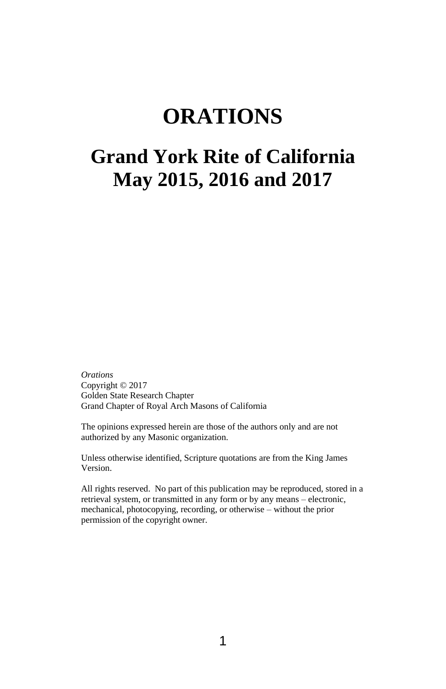# **ORATIONS**

# **Grand York Rite of California May 2015, 2016 and 2017**

*Orations* Copyright © 2017 Golden State Research Chapter Grand Chapter of Royal Arch Masons of California

The opinions expressed herein are those of the authors only and are not authorized by any Masonic organization.

Unless otherwise identified, Scripture quotations are from the King James Version.

All rights reserved. No part of this publication may be reproduced, stored in a retrieval system, or transmitted in any form or by any means – electronic, mechanical, photocopying, recording, or otherwise – without the prior permission of the copyright owner.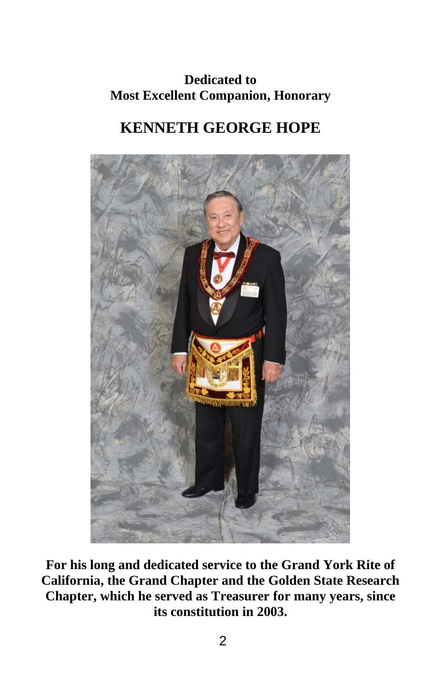# **Dedicated to Most Excellent Companion, Honorary**

# **KENNETH GEORGE HOPE**



**For his long and dedicated service to the Grand York Rite of California, the Grand Chapter and the Golden State Research Chapter, which he served as Treasurer for many years, since its constitution in 2003.**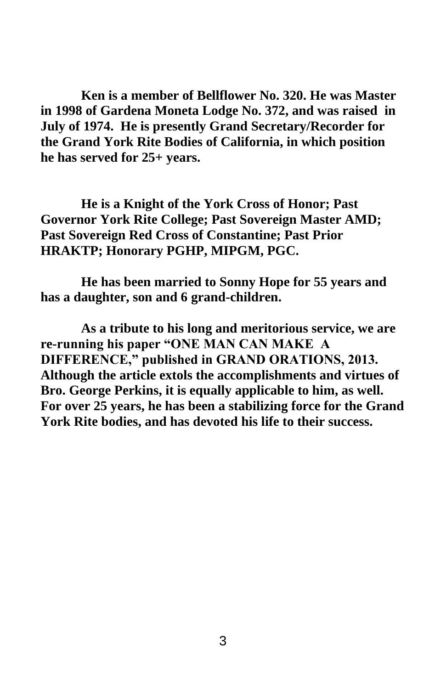**Ken is a member of Bellflower No. 320. He was Master in 1998 of Gardena Moneta Lodge No. 372, and was raised in July of 1974. He is presently Grand Secretary/Recorder for the Grand York Rite Bodies of California, in which position he has served for 25+ years.** 

**He is a Knight of the York Cross of Honor; Past Governor York Rite College; Past Sovereign Master AMD; Past Sovereign Red Cross of Constantine; Past Prior HRAKTP; Honorary PGHP, MIPGM, PGC.**

**He has been married to Sonny Hope for 55 years and has a daughter, son and 6 grand-children.**

**As a tribute to his long and meritorious service, we are re-running his paper "ONE MAN CAN MAKE A DIFFERENCE," published in GRAND ORATIONS, 2013. Although the article extols the accomplishments and virtues of Bro. George Perkins, it is equally applicable to him, as well. For over 25 years, he has been a stabilizing force for the Grand York Rite bodies, and has devoted his life to their success.**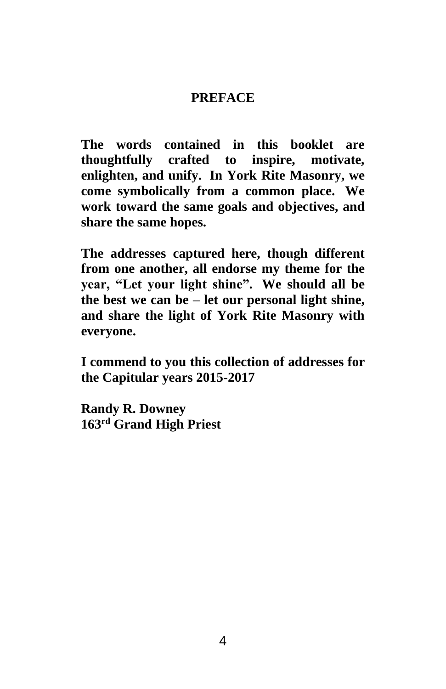## **PREFACE**

**The words contained in this booklet are thoughtfully crafted to inspire, motivate, enlighten, and unify. In York Rite Masonry, we come symbolically from a common place. We work toward the same goals and objectives, and share the same hopes.**

**The addresses captured here, though different from one another, all endorse my theme for the year, "Let your light shine". We should all be the best we can be – let our personal light shine, and share the light of York Rite Masonry with everyone.**

**I commend to you this collection of addresses for the Capitular years 2015-2017**

**Randy R. Downey 163rd Grand High Priest**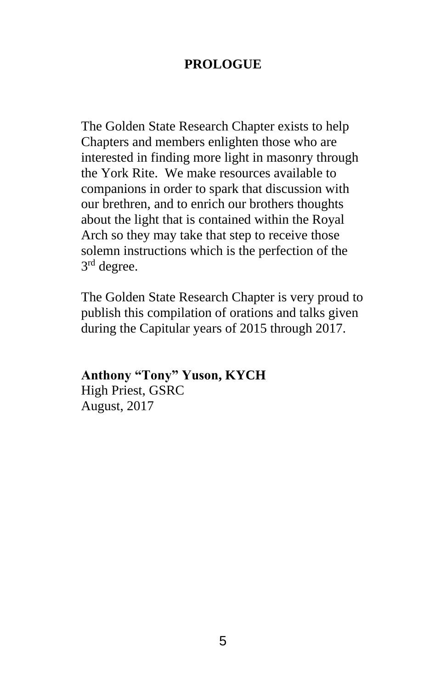## **PROLOGUE**

The Golden State Research Chapter exists to help Chapters and members enlighten those who are interested in finding more light in masonry through the York Rite. We make resources available to companions in order to spark that discussion with our brethren, and to enrich our brothers thoughts about the light that is contained within the Royal Arch so they may take that step to receive those solemn instructions which is the perfection of the 3<sup>rd</sup> degree.

The Golden State Research Chapter is very proud to publish this compilation of orations and talks given during the Capitular years of 2015 through 2017.

### **Anthony "Tony" Yuson, KYCH**  High Priest, GSRC

August, 2017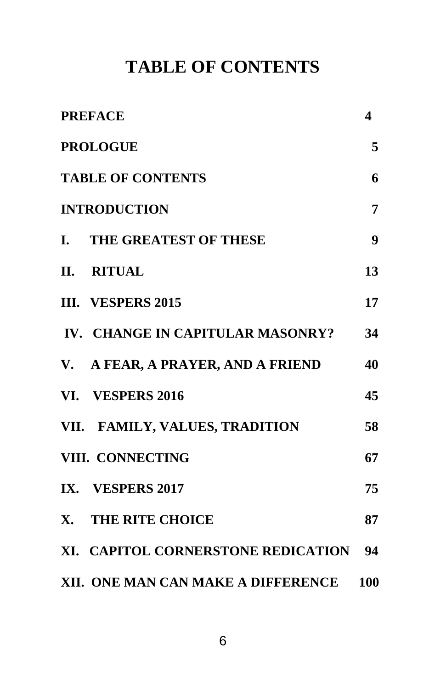# **TABLE OF CONTENTS**

| <b>PREFACE</b>                     | 4   |
|------------------------------------|-----|
| <b>PROLOGUE</b>                    | 5   |
| <b>TABLE OF CONTENTS</b>           | 6   |
| <b>INTRODUCTION</b>                | 7   |
| I. THE GREATEST OF THESE           | 9   |
| II. RITUAL                         | 13  |
| III. VESPERS 2015                  | 17  |
| IV. CHANGE IN CAPITULAR MASONRY?   | 34  |
| V. A FEAR, A PRAYER, AND A FRIEND  | 40  |
| VI. VESPERS 2016                   | 45  |
| VII. FAMILY, VALUES, TRADITION     | 58  |
| VIII. CONNECTING                   | 67  |
| IX. VESPERS 2017                   | 75  |
| X. THE RITE CHOICE                 | 87  |
| XI. CAPITOL CORNERSTONE REDICATION | 94  |
| XII. ONE MAN CAN MAKE A DIFFERENCE | 100 |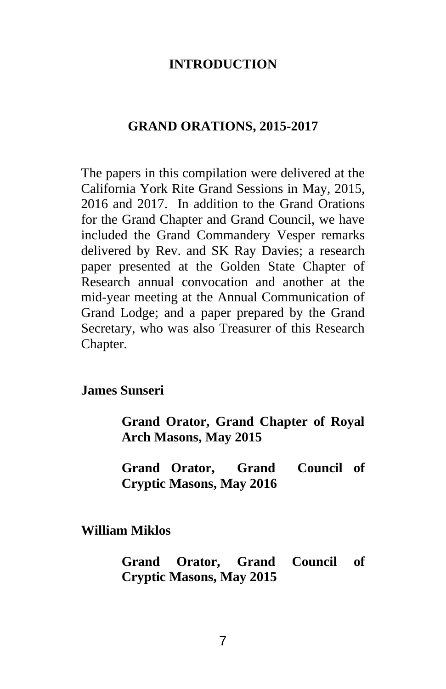## **INTRODUCTION**

#### **GRAND ORATIONS, 2015-2017**

The papers in this compilation were delivered at the California York Rite Grand Sessions in May, 2015, 2016 and 2017. In addition to the Grand Orations for the Grand Chapter and Grand Council, we have included the Grand Commandery Vesper remarks delivered by Rev. and SK Ray Davies; a research paper presented at the Golden State Chapter of Research annual convocation and another at the mid-year meeting at the Annual Communication of Grand Lodge; and a paper prepared by the Grand Secretary, who was also Treasurer of this Research Chapter.

#### **James Sunseri**

**Grand Orator, Grand Chapter of Royal Arch Masons, May 2015**

**Grand Orator, Grand Council of Cryptic Masons, May 2016**

#### **William Miklos**

**Grand Orator, Grand Council of Cryptic Masons, May 2015**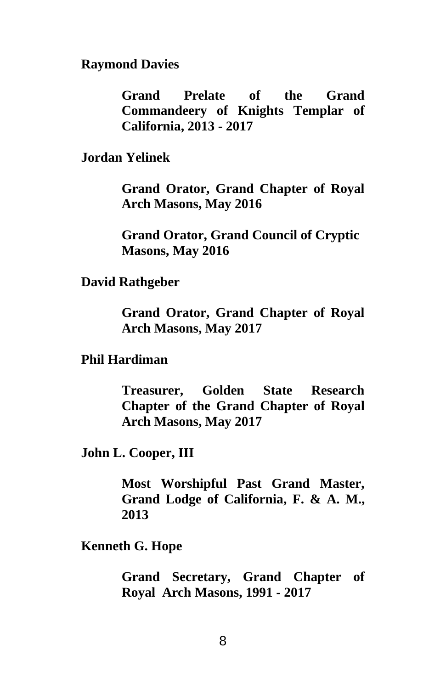**Raymond Davies**

**Grand Prelate of the Grand Commandeery of Knights Templar of California, 2013 - 2017**

**Jordan Yelinek**

**Grand Orator, Grand Chapter of Royal Arch Masons, May 2016**

**Grand Orator, Grand Council of Cryptic Masons, May 2016**

**David Rathgeber**

**Grand Orator, Grand Chapter of Royal Arch Masons, May 2017**

#### **Phil Hardiman**

**Treasurer, Golden State Research Chapter of the Grand Chapter of Royal Arch Masons, May 2017**

**John L. Cooper, III**

**Most Worshipful Past Grand Master, Grand Lodge of California, F. & A. M., 2013**

**Kenneth G. Hope**

**Grand Secretary, Grand Chapter of Royal Arch Masons, 1991 - 2017**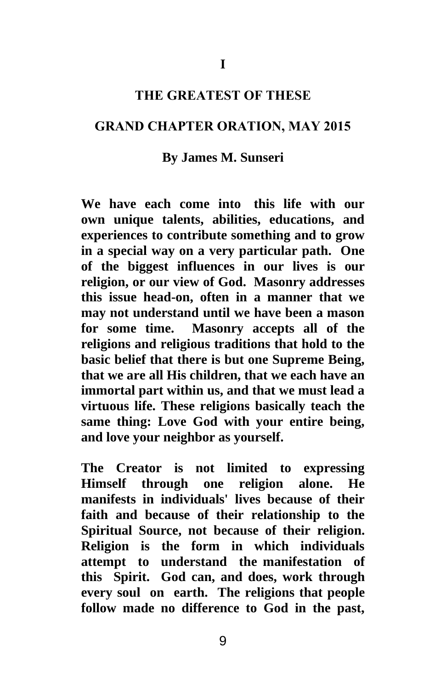#### **THE GREATEST OF THESE**

#### **GRAND CHAPTER ORATION, MAY 2015**

#### **By James M. Sunseri**

**We have each come into this life with our own unique talents, abilities, educations, and experiences to contribute something and to grow in a special way on a very particular path. One of the biggest influences in our lives is our religion, or our view of God. Masonry addresses this issue head-on, often in a manner that we may not understand until we have been a mason for some time. Masonry accepts all of the religions and religious traditions that hold to the basic belief that there is but one Supreme Being, that we are all His children, that we each have an immortal part within us, and that we must lead a virtuous life. These religions basically teach the same thing: Love God with your entire being, and love your neighbor as yourself.**

**The Creator is not limited to expressing Himself through one religion alone. He manifests in individuals' lives because of their faith and because of their relationship to the Spiritual Source, not because of their religion. Religion is the form in which individuals attempt to understand the manifestation of this Spirit. God can, and does, work through every soul on earth. The religions that people follow made no difference to God in the past,**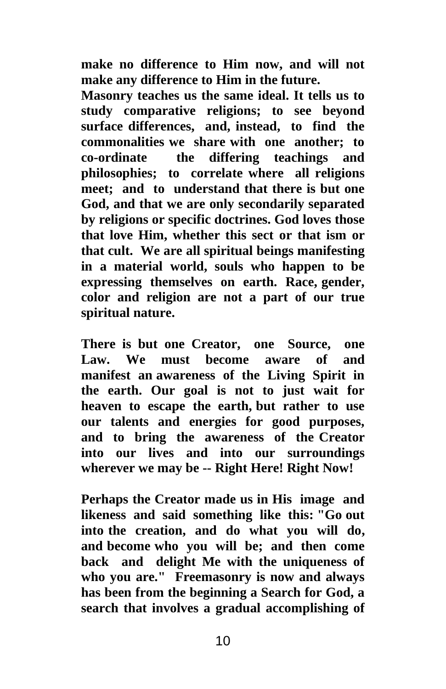**make no difference to Him now, and will not make any difference to Him in the future.**

**Masonry teaches us the same ideal. It tells us to study comparative religions; to see beyond surface differences, and, instead, to find the commonalities we share with one another; to co-ordinate the differing teachings and philosophies; to correlate where all religions meet; and to understand that there is but one God, and that we are only secondarily separated by religions or specific doctrines. God loves those that love Him, whether this sect or that ism or that cult. We are all spiritual beings manifesting in a material world, souls who happen to be expressing themselves on earth. Race, gender, color and religion are not a part of our true spiritual nature.**

**There is but one Creator, one Source, one Law. We must become aware of and manifest an awareness of the Living Spirit in the earth. Our goal is not to just wait for heaven to escape the earth, but rather to use our talents and energies for good purposes, and to bring the awareness of the Creator into our lives and into our surroundings wherever we may be -- Right Here! Right Now!**

**Perhaps the Creator made us in His image and likeness and said something like this: "Go out into the creation, and do what you will do, and become who you will be; and then come back and delight Me with the uniqueness of who you are." Freemasonry is now and always has been from the beginning a Search for God, a search that involves a gradual accomplishing of**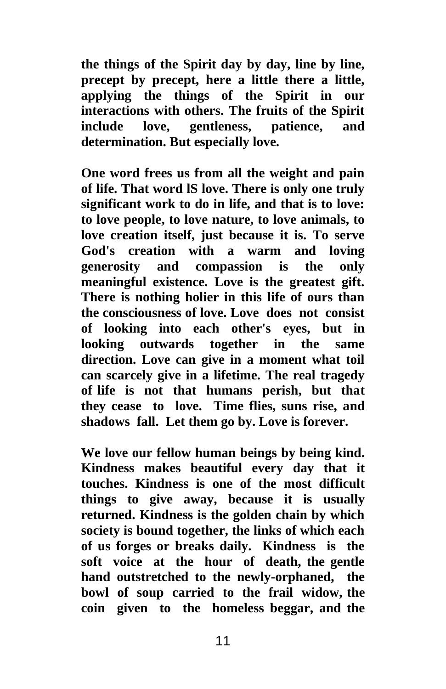**the things of the Spirit day by day, line by line, precept by precept, here a little there a little, applying the things of the Spirit in our interactions with others. The fruits of the Spirit include love, gentleness, patience, and determination. But especially love.**

**One word frees us from all the weight and pain of life. That word lS love. There is only one truly significant work to do in life, and that is to love: to love people, to love nature, to love animals, to love creation itself, just because it is. To serve God's creation with a warm and loving generosity and compassion is the only meaningful existence. Love is the greatest gift. There is nothing holier in this life of ours than the consciousness of love. Love does not consist of looking into each other's eyes, but in looking outwards together in the same direction. Love can give in a moment what toil can scarcely give in a lifetime. The real tragedy of life is not that humans perish, but that they cease to love. Time flies, suns rise, and shadows fall. Let them go by. Love is forever.**

**We love our fellow human beings by being kind. Kindness makes beautiful every day that it touches. Kindness is one of the most difficult things to give away, because it is usually returned. Kindness is the golden chain by which society is bound together, the links of which each of us forges or breaks daily. Kindness is the soft voice at the hour of death, the gentle hand outstretched to the newly-orphaned, the bowl of soup carried to the frail widow, the coin given to the homeless beggar, and the**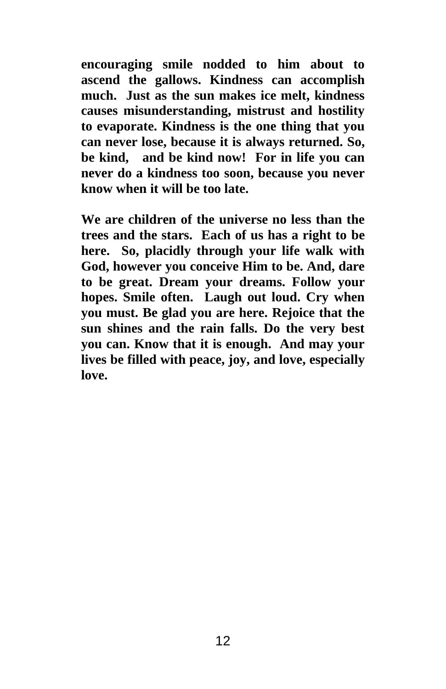**encouraging smile nodded to him about to ascend the gallows. Kindness can accomplish much. Just as the sun makes ice melt, kindness causes misunderstanding, mistrust and hostility to evaporate. Kindness is the one thing that you can never lose, because it is always returned. So, be kind, and be kind now! For in life you can never do a kindness too soon, because you never know when it will be too late.**

**We are children of the universe no less than the trees and the stars. Each of us has a right to be here. So, placidly through your life walk with God, however you conceive Him to be. And, dare to be great. Dream your dreams. Follow your hopes. Smile often. Laugh out loud. Cry when you must. Be glad you are here. Rejoice that the sun shines and the rain falls. Do the very best you can. Know that it is enough. And may your lives be filled with peace, joy, and love, especially love.**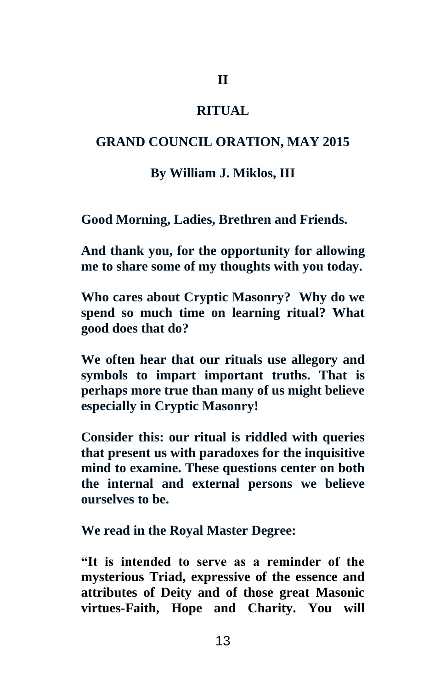## **II**

## **RITUAL**

## **GRAND COUNCIL ORATION, MAY 2015**

#### **By William J. Miklos, III**

**Good Morning, Ladies, Brethren and Friends.** 

**And thank you, for the opportunity for allowing me to share some of my thoughts with you today.**

**Who cares about Cryptic Masonry? Why do we spend so much time on learning ritual? What good does that do?**

**We often hear that our rituals use allegory and symbols to impart important truths. That is perhaps more true than many of us might believe especially in Cryptic Masonry!**

**Consider this: our ritual is riddled with queries that present us with paradoxes for the inquisitive mind to examine. These questions center on both the internal and external persons we believe ourselves to be.** 

**We read in the Royal Master Degree:**

**"It is intended to serve as a reminder of the mysterious Triad, expressive of the essence and attributes of Deity and of those great Masonic virtues-Faith, Hope and Charity. You will**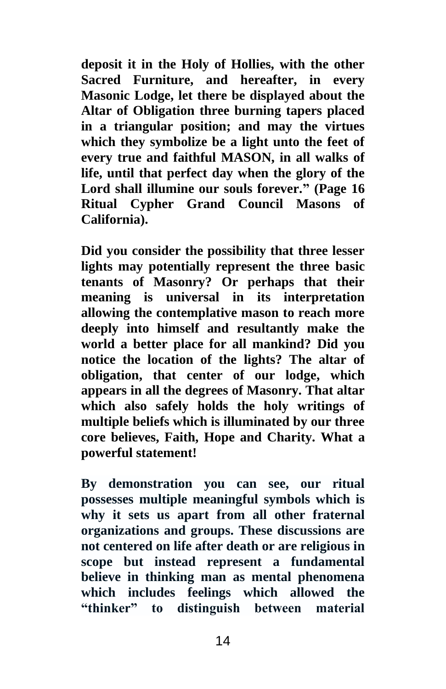**deposit it in the Holy of Hollies, with the other Sacred Furniture, and hereafter, in every Masonic Lodge, let there be displayed about the Altar of Obligation three burning tapers placed in a triangular position; and may the virtues which they symbolize be a light unto the feet of every true and faithful MASON, in all walks of life, until that perfect day when the glory of the Lord shall illumine our souls forever." (Page 16 Ritual Cypher Grand Council Masons of California).**

**Did you consider the possibility that three lesser lights may potentially represent the three basic tenants of Masonry? Or perhaps that their meaning is universal in its interpretation allowing the contemplative mason to reach more deeply into himself and resultantly make the world a better place for all mankind? Did you notice the location of the lights? The altar of obligation, that center of our lodge, which appears in all the degrees of Masonry. That altar which also safely holds the holy writings of multiple beliefs which is illuminated by our three core believes, Faith, Hope and Charity. What a powerful statement!**

**By demonstration you can see, our ritual possesses multiple meaningful symbols which is why it sets us apart from all other fraternal organizations and groups. These discussions are not centered on life after death or are religious in scope but instead represent a fundamental believe in thinking man as mental phenomena which includes feelings which allowed the "thinker" to distinguish between material**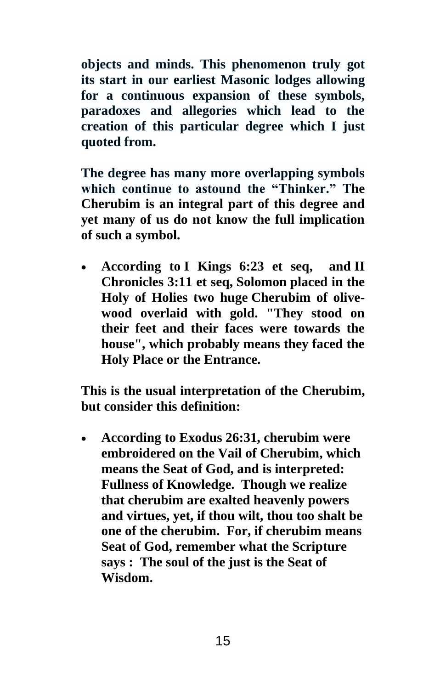**objects and minds. This phenomenon truly got its start in our earliest Masonic lodges allowing for a continuous expansion of these symbols, paradoxes and allegories which lead to the creation of this particular degree which I just quoted from.**

**The degree has many more overlapping symbols which continue to astound the "Thinker." The Cherubim is an integral part of this degree and yet many of us do not know the full implication of such a symbol.**

• **According to I [Kings 6:23](http://www.newadvent.org/bible/1ki006.htm#vrs23) et seq, and [II](http://www.newadvent.org/bible/2ch003.htm#vrs11) [Chronicles 3:11](http://www.newadvent.org/bible/2ch003.htm#vrs11) et seq, Solomon placed in the Holy of Holies two huge Cherubim of olivewood overlaid with gold. "They stood on their feet and their faces were towards the house", which probably means they faced the Holy Place or the Entrance.**

**This is the usual interpretation of the Cherubim, but consider this definition:**

• **According to Exodus 26:31, cherubim were embroidered on the Vail of Cherubim, which means the Seat of God, and is interpreted: Fullness of Knowledge. Though we realize that cherubim are exalted heavenly powers and virtues, yet, if thou wilt, thou too shalt be one of the cherubim. For, if cherubim means Seat of God, remember what the Scripture says : The soul of the just is the Seat of Wisdom.**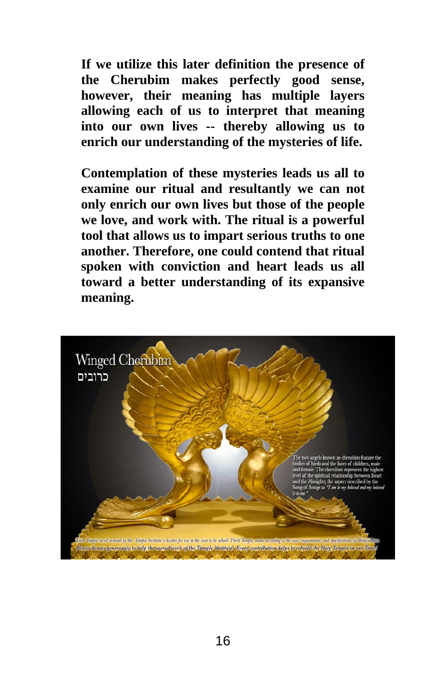**If we utilize this later definition the presence of the Cherubim makes perfectly good sense, however, their meaning has multiple layers allowing each of us to interpret that meaning into our own lives -- thereby allowing us to enrich our understanding of the mysteries of life.**

**Contemplation of these mysteries leads us all to examine our ritual and resultantly we can not only enrich our own lives but those of the people we love, and work with. The ritual is a powerful tool that allows us to impart serious truths to one another. Therefore, one could contend that ritual spoken with conviction and heart leads us all toward a better understanding of its expansive meaning.**

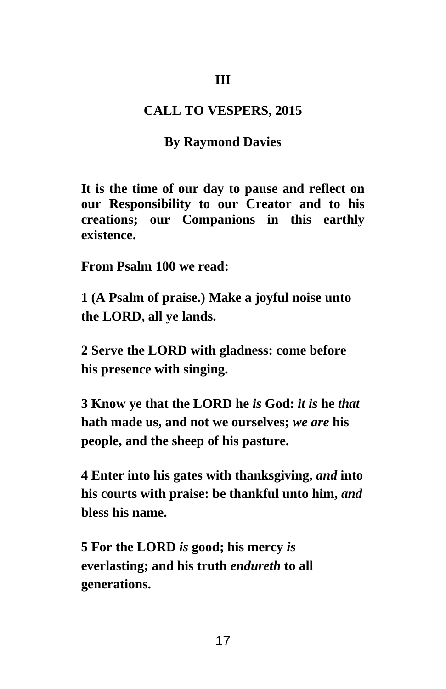### **III**

### **CALL TO VESPERS, 2015**

#### **By Raymond Davies**

**It is the time of our day to pause and reflect on our Responsibility to our Creator and to his creations; our Companions in this earthly existence.**

**From Psalm 100 we read:**

**[1 \(](https://www.kingjamesbibleonline.org/Psalms-100-1/)A Psalm of praise.) Make a joyful noise unto the LORD, all ye lands.**

**[2 S](https://www.kingjamesbibleonline.org/Psalms-100-2/)erve the LORD with gladness: come before his presence with singing.**

**[3 K](https://www.kingjamesbibleonline.org/Psalms-100-3/)now ye that the LORD he** *is* **God:** *it is* **he** *that* **hath made us, and not we ourselves;** *we are* **his people, and the sheep of his pasture.**

**[4 E](https://www.kingjamesbibleonline.org/Psalms-100-4/)nter into his gates with thanksgiving,** *and* **into his courts with praise: be thankful unto him,** *and* **bless his name.**

**[5 F](https://www.kingjamesbibleonline.org/Psalms-100-5/)or the LORD** *is* **good; his mercy** *is* **everlasting; and his truth** *endureth* **to all generations.**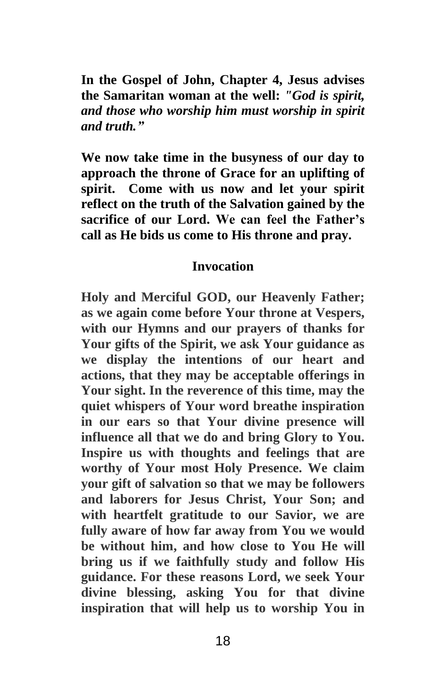**In the Gospel of John, Chapter 4, Jesus advises the Samaritan woman at the well:** *"God is spirit, and those who worship him must worship in spirit and truth."*

**We now take time in the busyness of our day to approach the throne of Grace for an uplifting of spirit. Come with us now and let your spirit reflect on the truth of the Salvation gained by the sacrifice of our Lord. We can feel the Father's call as He bids us come to His throne and pray.**

## **Invocation**

**Holy and Merciful GOD, our Heavenly Father; as we again come before Your throne at Vespers, with our Hymns and our prayers of thanks for Your gifts of the Spirit, we ask Your guidance as we display the intentions of our heart and actions, that they may be acceptable offerings in Your sight. In the reverence of this time, may the quiet whispers of Your word breathe inspiration in our ears so that Your divine presence will influence all that we do and bring Glory to You. Inspire us with thoughts and feelings that are worthy of Your most Holy Presence. We claim your gift of salvation so that we may be followers and laborers for Jesus Christ, Your Son; and with heartfelt gratitude to our Savior, we are fully aware of how far away from You we would be without him, and how close to You He will bring us if we faithfully study and follow His guidance. For these reasons Lord, we seek Your divine blessing, asking You for that divine inspiration that will help us to worship You in**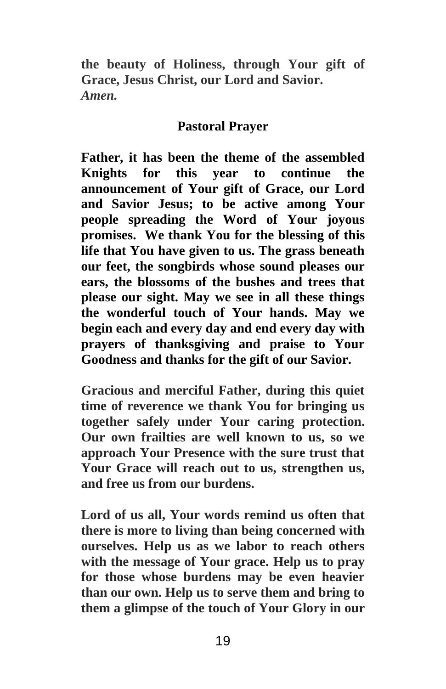**the beauty of Holiness, through Your gift of Grace, Jesus Christ, our Lord and Savior.**  *Amen.*

## **Pastoral Prayer**

**Father, it has been the theme of the assembled Knights for this year to continue the announcement of Your gift of Grace, our Lord and Savior Jesus; to be active among Your people spreading the Word of Your joyous promises. We thank You for the blessing of this life that You have given to us. The grass beneath our feet, the songbirds whose sound pleases our ears, the blossoms of the bushes and trees that please our sight. May we see in all these things the wonderful touch of Your hands. May we begin each and every day and end every day with prayers of thanksgiving and praise to Your Goodness and thanks for the gift of our Savior.**

**Gracious and merciful Father, during this quiet time of reverence we thank You for bringing us together safely under Your caring protection. Our own frailties are well known to us, so we approach Your Presence with the sure trust that Your Grace will reach out to us, strengthen us, and free us from our burdens.** 

**Lord of us all, Your words remind us often that there is more to living than being concerned with ourselves. Help us as we labor to reach others with the message of Your grace. Help us to pray for those whose burdens may be even heavier than our own. Help us to serve them and bring to them a glimpse of the touch of Your Glory in our**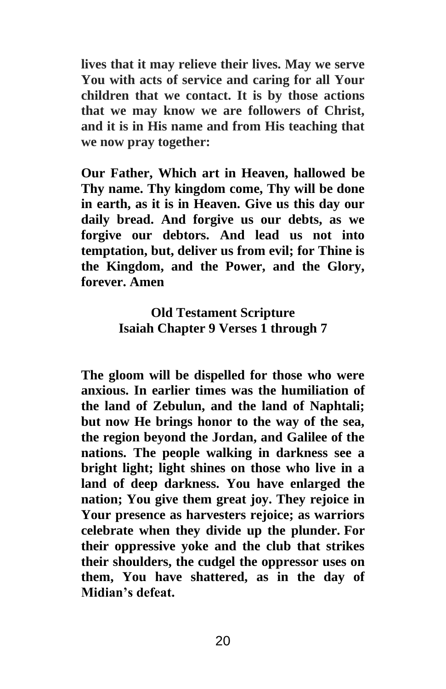**lives that it may relieve their lives. May we serve You with acts of service and caring for all Your children that we contact. It is by those actions that we may know we are followers of Christ, and it is in His name and from His teaching that we now pray together:**

**Our Father, Which art in Heaven, hallowed be Thy name. Thy kingdom come, Thy will be done in earth, as it is in Heaven. Give us this day our daily bread. And forgive us our debts, as we forgive our debtors. And lead us not into temptation, but, deliver us from evil; for Thine is the Kingdom, and the Power, and the Glory, forever. Amen** 

# **Old Testament Scripture Isaiah Chapter 9 Verses 1 through 7**

**The gloom will be dispelled for those who were anxious. In earlier times was the humiliation of the land of Zebulun, and the land of Naphtali; but now He brings honor to the way of the sea, the region beyond the Jordan, and Galilee of the nations. The people walking in darkness see a bright light; light shines on those who live in a land of deep darkness. You have enlarged the nation; You give them great joy. They rejoice in Your presence as harvesters rejoice; as warriors celebrate when they divide up the plunder. For their oppressive yoke and the club that strikes their shoulders, the cudgel the oppressor uses on them, You have shattered, as in the day of Midian's defeat.**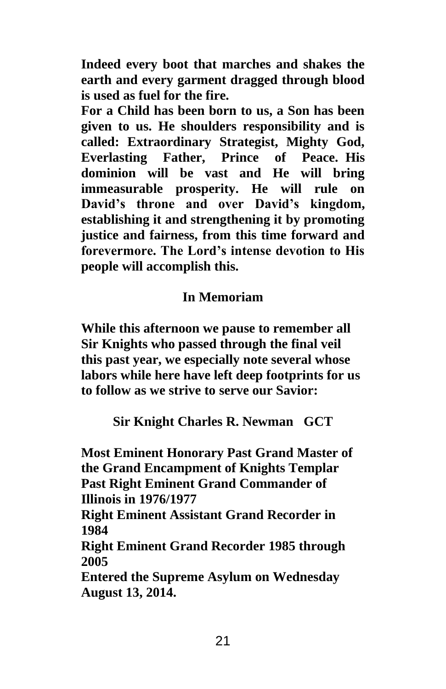**Indeed every boot that marches and shakes the earth and every garment dragged through blood is used as fuel for the fire.** 

**For a Child has been born to us, a Son has been given to us. He shoulders responsibility and is called: Extraordinary Strategist, Mighty God, Everlasting Father, Prince of Peace. His dominion will be vast and He will bring immeasurable prosperity. He will rule on David's throne and over David's kingdom, establishing it and strengthening it by promoting justice and fairness, from this time forward and forevermore. The Lord's intense devotion to His people will accomplish this.**

# **In Memoriam**

**While this afternoon we pause to remember all Sir Knights who passed through the final veil this past year, we especially note several whose labors while here have left deep footprints for us to follow as we strive to serve our Savior:**

**Sir Knight Charles R. Newman GCT**

**Most Eminent Honorary Past Grand Master of the Grand Encampment of Knights Templar Past Right Eminent Grand Commander of Illinois in 1976/1977**

**Right Eminent Assistant Grand Recorder in 1984**

**Right Eminent Grand Recorder 1985 through 2005**

**Entered the Supreme Asylum on Wednesday August 13, 2014.**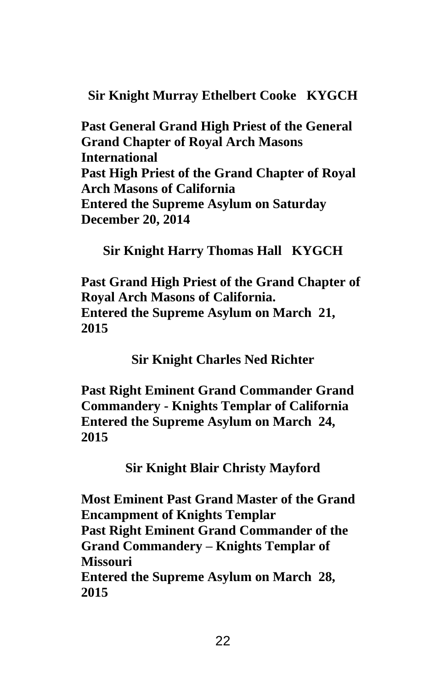**Sir Knight Murray Ethelbert Cooke KYGCH**

**Past General Grand High Priest of the General Grand Chapter of Royal Arch Masons International Past High Priest of the Grand Chapter of Royal Arch Masons of California Entered the Supreme Asylum on Saturday December 20, 2014**

**Sir Knight Harry Thomas Hall KYGCH**

**Past Grand High Priest of the Grand Chapter of Royal Arch Masons of California. Entered the Supreme Asylum on March 21, 2015**

**Sir Knight Charles Ned Richter**

**Past Right Eminent Grand Commander Grand Commandery - Knights Templar of California Entered the Supreme Asylum on March 24, 2015**

**Sir Knight Blair Christy Mayford**

**Most Eminent Past Grand Master of the Grand Encampment of Knights Templar Past Right Eminent Grand Commander of the Grand Commandery – Knights Templar of Missouri Entered the Supreme Asylum on March 28, 2015**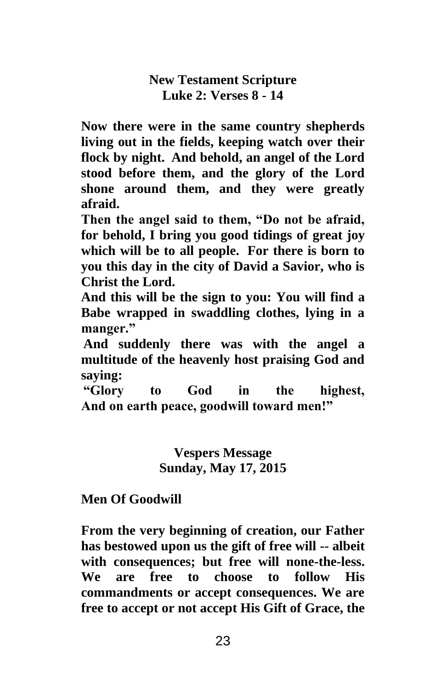**New Testament Scripture Luke 2: Verses 8 - 14**

**Now there were in the same country shepherds living out in the fields, keeping watch over their flock by night. And behold, an angel of the Lord stood before them, and the glory of the Lord shone around them, and they were greatly afraid.** 

**Then the angel said to them, "Do not be afraid, for behold, I bring you good tidings of great joy which will be to all people. For there is born to you this day in the city of David a Savior, who is Christ the Lord.** 

**And this will be the sign to you: You will find a Babe wrapped in swaddling clothes, lying in a manger."**

**And suddenly there was with the angel a multitude of the heavenly host praising God and saying:**

**"Glory to God in the highest, And on earth peace, goodwill toward men!"**

> **Vespers Message Sunday, May 17, 2015**

**Men Of Goodwill**

**From the very beginning of creation, our Father has bestowed upon us the gift of free will -- albeit with consequences; but free will none-the-less. We are free to choose to follow His commandments or accept consequences. We are free to accept or not accept His Gift of Grace, the**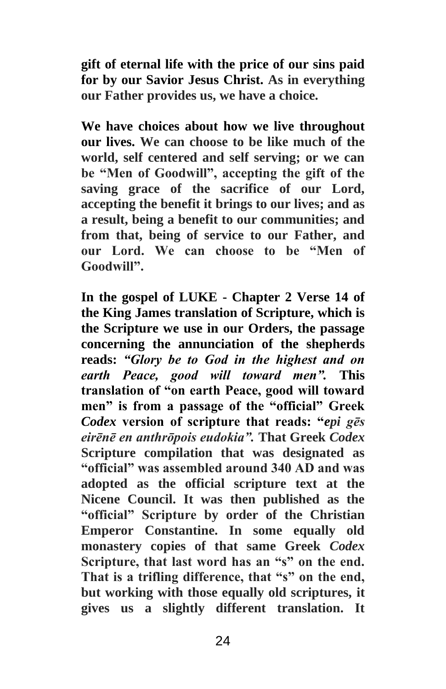**gift of eternal life with the price of our sins paid for by our Savior Jesus Christ. As in everything our Father provides us, we have a choice.** 

**We have choices about how we live throughout our lives. We can choose to be like much of the world, self centered and self serving; or we can be "Men of Goodwill", accepting the gift of the saving grace of the sacrifice of our Lord, accepting the benefit it brings to our lives; and as a result, being a benefit to our communities; and from that, being of service to our Father, and our Lord. We can choose to be "Men of Goodwill".**

**In the gospel of LUKE - Chapter 2 Verse 14 of the King James translation of Scripture, which is the Scripture we use in our Orders, the passage concerning the annunciation of the shepherds reads:** *"Glory be to God in the highest and on earth Peace, good will toward men".* **This translation of "on earth Peace, good will toward men" is from a passage of the "official" Greek**  *Codex* **version of scripture that reads: "***epi gēs eirēnē en anthrōpois eudokia".* **That Greek** *Codex* **Scripture compilation that was designated as "official" was assembled around 340 AD and was adopted as the official scripture text at the Nicene Council. It was then published as the "official" Scripture by order of the Christian Emperor Constantine. In some equally old monastery copies of that same Greek** *Codex*  **Scripture, that last word has an "s" on the end. That is a trifling difference, that "s" on the end, but working with those equally old scriptures, it gives us a slightly different translation. It**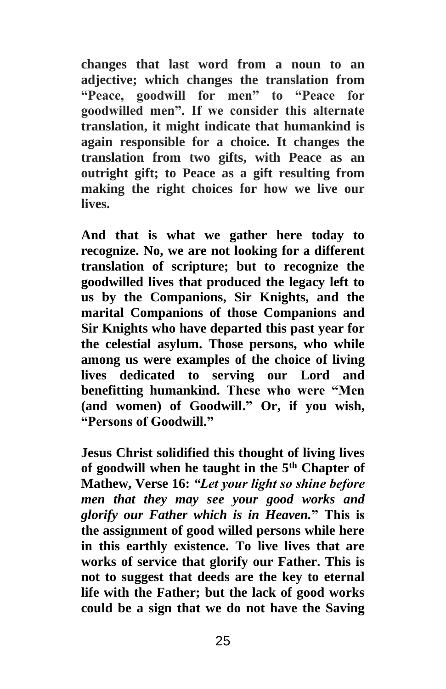**changes that last word from a noun to an adjective; which changes the translation from "Peace, goodwill for men" to "Peace for goodwilled men". If we consider this alternate translation, it might indicate that humankind is again responsible for a choice. It changes the translation from two gifts, with Peace as an outright gift; to Peace as a gift resulting from making the right choices for how we live our lives.** 

**And that is what we gather here today to recognize. No, we are not looking for a different translation of scripture; but to recognize the goodwilled lives that produced the legacy left to us by the Companions, Sir Knights, and the marital Companions of those Companions and Sir Knights who have departed this past year for the celestial asylum. Those persons, who while among us were examples of the choice of living lives dedicated to serving our Lord and benefitting humankind. These who were "Men (and women) of Goodwill." Or, if you wish, "Persons of Goodwill."**

**Jesus Christ solidified this thought of living lives of goodwill when he taught in the 5th Chapter of Mathew, Verse 16:** *"Let your light so shine before men that they may see your good works and glorify our Father which is in Heaven.***" This is the assignment of good willed persons while here in this earthly existence. To live lives that are works of service that glorify our Father. This is not to suggest that deeds are the key to eternal life with the Father; but the lack of good works could be a sign that we do not have the Saving**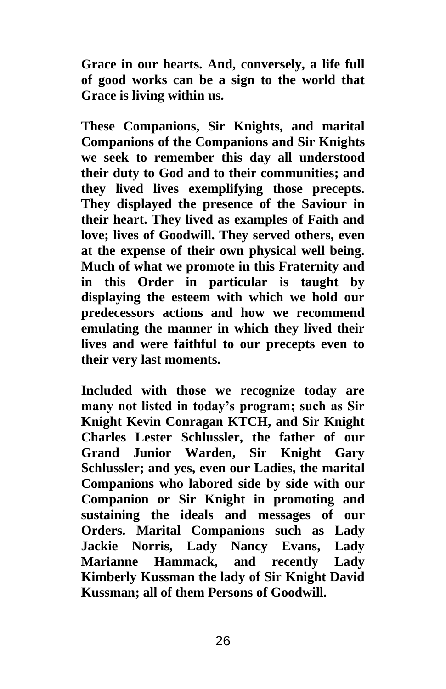**Grace in our hearts. And, conversely, a life full of good works can be a sign to the world that Grace is living within us.**

**These Companions, Sir Knights, and marital Companions of the Companions and Sir Knights we seek to remember this day all understood their duty to God and to their communities; and they lived lives exemplifying those precepts. They displayed the presence of the Saviour in their heart. They lived as examples of Faith and love; lives of Goodwill. They served others, even at the expense of their own physical well being. Much of what we promote in this Fraternity and in this Order in particular is taught by displaying the esteem with which we hold our predecessors actions and how we recommend emulating the manner in which they lived their lives and were faithful to our precepts even to their very last moments.**

**Included with those we recognize today are many not listed in today's program; such as Sir Knight Kevin Conragan KTCH, and Sir Knight Charles Lester Schlussler, the father of our Grand Junior Warden, Sir Knight Gary Schlussler; and yes, even our Ladies, the marital Companions who labored side by side with our Companion or Sir Knight in promoting and sustaining the ideals and messages of our Orders. Marital Companions such as Lady Jackie Norris, Lady Nancy Evans, Lady Marianne Hammack, and recently Lady Kimberly Kussman the lady of Sir Knight David Kussman; all of them Persons of Goodwill.**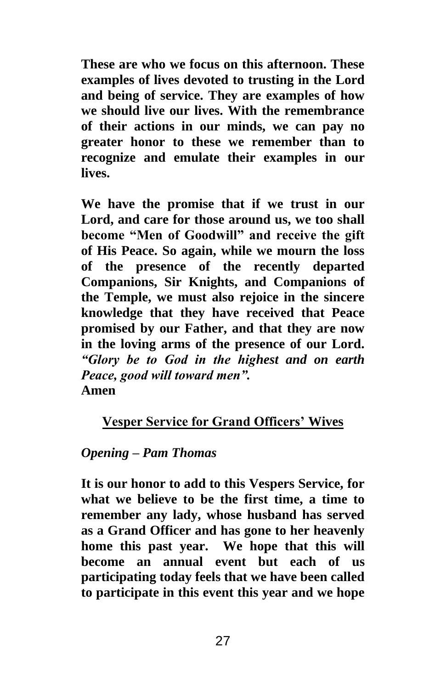**These are who we focus on this afternoon. These examples of lives devoted to trusting in the Lord and being of service. They are examples of how we should live our lives. With the remembrance of their actions in our minds, we can pay no greater honor to these we remember than to recognize and emulate their examples in our lives.**

**We have the promise that if we trust in our Lord, and care for those around us, we too shall become "Men of Goodwill" and receive the gift of His Peace. So again, while we mourn the loss of the presence of the recently departed Companions, Sir Knights, and Companions of the Temple, we must also rejoice in the sincere knowledge that they have received that Peace promised by our Father, and that they are now in the loving arms of the presence of our Lord.**  *"Glory be to God in the highest and on earth Peace, good will toward men".* **Amen**

## **Vesper Service for Grand Officers' Wives**

## *Opening – Pam Thomas*

**It is our honor to add to this Vespers Service, for what we believe to be the first time, a time to remember any lady, whose husband has served as a Grand Officer and has gone to her heavenly home this past year. We hope that this will become an annual event but each of us participating today feels that we have been called to participate in this event this year and we hope**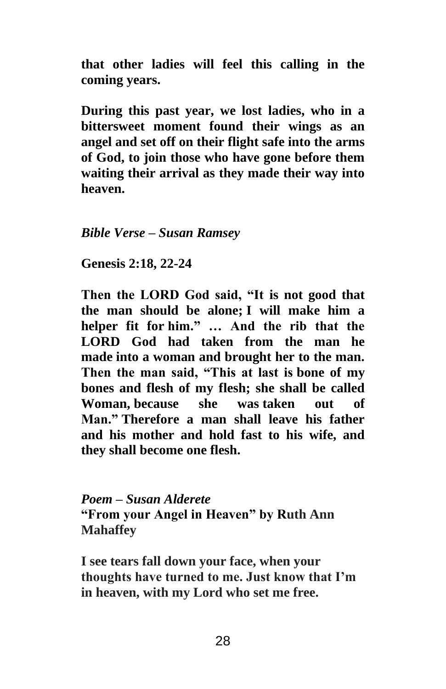**that other ladies will feel this calling in the coming years.**

**During this past year, we lost ladies, who in a bittersweet moment found their wings as an angel and set off on their flight safe into the arms of God, to join those who have gone before them waiting their arrival as they made their way into heaven.**

*Bible Verse – Susan Ramsey* 

**Genesis 2:18, 22-24**

**Then the LORD God said, "It is not good that the man should be alone; I will make him a helper fit for him." … And the rib that the LORD God had taken from the man he made into a woman and brought her to the man. Then the man said, "This at last is bone of my bones and flesh of my flesh; she shall be called Woman, because she was taken out of Man." Therefore a man shall leave his father and his mother and hold fast to his wife, and they shall become one flesh.**

*Poem – Susan Alderete* **"From your Angel in Heaven" by Ruth Ann Mahaffey**

**I see tears fall down your face, when your thoughts have turned to me. Just know that I'm in heaven, with my Lord who set me free.**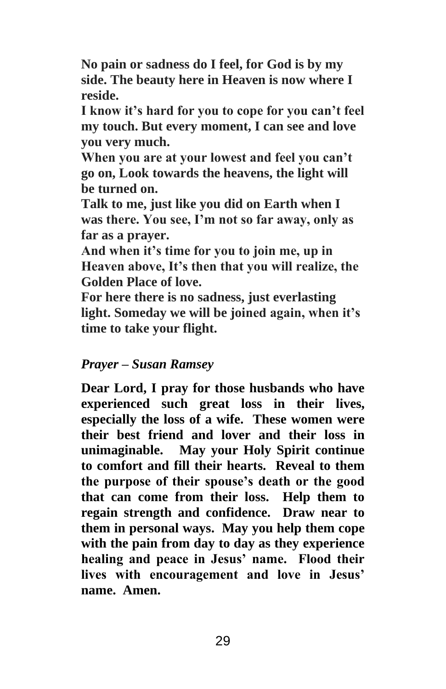**No pain or sadness do I feel, for God is by my side. The beauty here in Heaven is now where I reside.**

**I know it's hard for you to cope for you can't feel my touch. But every moment, I can see and love you very much.**

**When you are at your lowest and feel you can't go on, Look towards the heavens, the light will be turned on.**

**Talk to me, just like you did on Earth when I was there. You see, I'm not so far away, only as far as a prayer.**

**And when it's time for you to join me, up in Heaven above, It's then that you will realize, the Golden Place of love.**

**For here there is no sadness, just everlasting light. Someday we will be joined again, when it's time to take your flight.**

## *Prayer – Susan Ramsey*

**Dear Lord, I pray for those husbands who have experienced such great loss in their lives, especially the loss of a wife. These women were their best friend and lover and their loss in unimaginable. May your Holy Spirit continue to comfort and fill their hearts. Reveal to them the purpose of their spouse's death or the good that can come from their loss. Help them to regain strength and confidence. Draw near to them in personal ways. May you help them cope with the pain from day to day as they experience healing and peace in Jesus' name. Flood their lives with encouragement and love in Jesus' name. Amen.**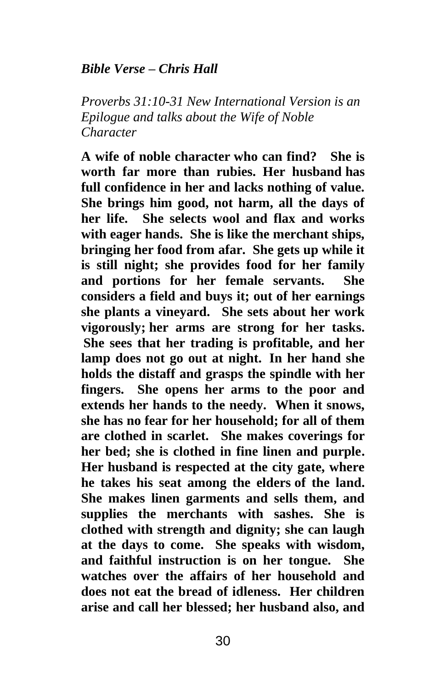## *Bible Verse – Chris Hall*

*Proverbs 31:10-31 New International Version is an Epilogue and talks about the Wife of Noble Character*

**A wife of noble character who can find? She is worth far more than rubies. Her husband has full confidence in her and lacks nothing of value. She brings him good, not harm, all the days of her life. She selects wool and flax and works with eager hands. She is like the merchant ships, bringing her food from afar. She gets up while it is still night; she provides food for her family and portions for her female servants. She considers a field and buys it; out of her earnings she plants a vineyard. She sets about her work vigorously; her arms are strong for her tasks. She sees that her trading is profitable, and her lamp does not go out at night. In her hand she holds the distaff and grasps the spindle with her fingers. She opens her arms to the poor and extends her hands to the needy. When it snows, she has no fear for her household; for all of them are clothed in scarlet. She makes coverings for her bed; she is clothed in fine linen and purple. Her husband is respected at the city gate, where he takes his seat among the elders of the land. She makes linen garments and sells them, and supplies the merchants with sashes. She is clothed with strength and dignity; she can laugh at the days to come. She speaks with wisdom, and faithful instruction is on her tongue. She watches over the affairs of her household and does not eat the bread of idleness. Her children arise and call her blessed; her husband also, and**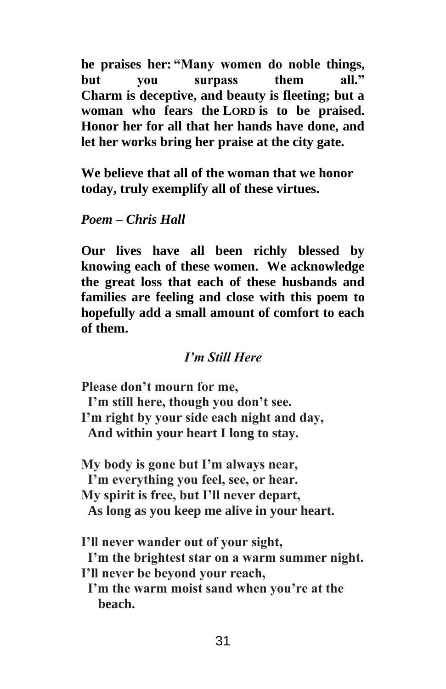**he praises her: "Many women do noble things, but you surpass them all." Charm is deceptive, and beauty is fleeting; but a woman who fears the LORD is to be praised. Honor her for all that her hands have done, and let her works bring her praise at the city gate.**

**We believe that all of the woman that we honor today, truly exemplify all of these virtues.**

## *Poem – Chris Hall*

**Our lives have all been richly blessed by knowing each of these women. We acknowledge the great loss that each of these husbands and families are feeling and close with this poem to hopefully add a small amount of comfort to each of them.**

## *I'm Still Here*

**Please don't mourn for me, I'm still here, though you don't see. I'm right by your side each night and day, And within your heart I long to stay.**

**My body is gone but I'm always near, I'm everything you feel, see, or hear. My spirit is free, but I'll never depart, As long as you keep me alive in your heart.**

**I'll never wander out of your sight, I'm the brightest star on a warm summer night. I'll never be beyond your reach, I'm the warm moist sand when you're at the beach.**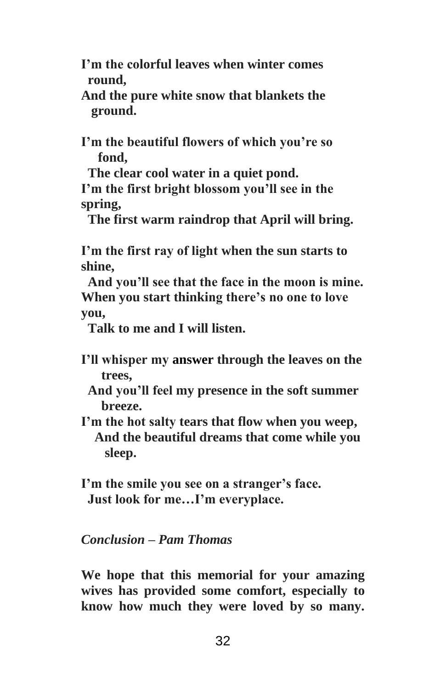**I'm the colorful leaves when winter comes round,** 

**And the pure white snow that blankets the ground.**

**I'm the beautiful flowers of which you're so fond,**

 **The clear cool water in a quiet pond.**

**I'm the first bright blossom you'll see in the spring,** 

 **The first warm raindrop that April will bring.**

**I'm the first ray of light when the sun starts to shine,** 

 **And you'll see that the face in the moon is mine. When you start thinking there's no one to love you,**

 **Talk to me and I will listen.**

- **I'll whisper my answer through the leaves on the trees,** 
	- **And you'll feel my presence in the soft summer breeze.**
- **I'm the hot salty tears that flow when you weep, And the beautiful dreams that come while you sleep.**

**I'm the smile you see on a stranger's face. Just look for me…I'm everyplace.**

## *Conclusion – Pam Thomas*

**We hope that this memorial for your amazing wives has provided some comfort, especially to know how much they were loved by so many.**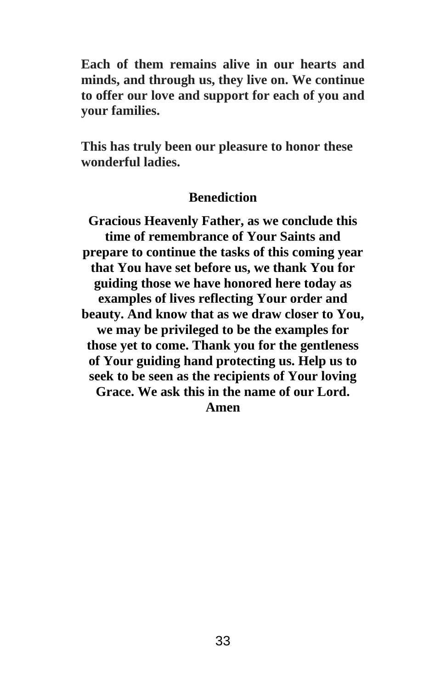**Each of them remains alive in our hearts and minds, and through us, they live on. We continue to offer our love and support for each of you and your families.**

**This has truly been our pleasure to honor these wonderful ladies.**

#### **Benediction**

**Gracious Heavenly Father, as we conclude this time of remembrance of Your Saints and prepare to continue the tasks of this coming year that You have set before us, we thank You for guiding those we have honored here today as examples of lives reflecting Your order and beauty. And know that as we draw closer to You, we may be privileged to be the examples for those yet to come. Thank you for the gentleness of Your guiding hand protecting us. Help us to seek to be seen as the recipients of Your loving Grace. We ask this in the name of our Lord. Amen**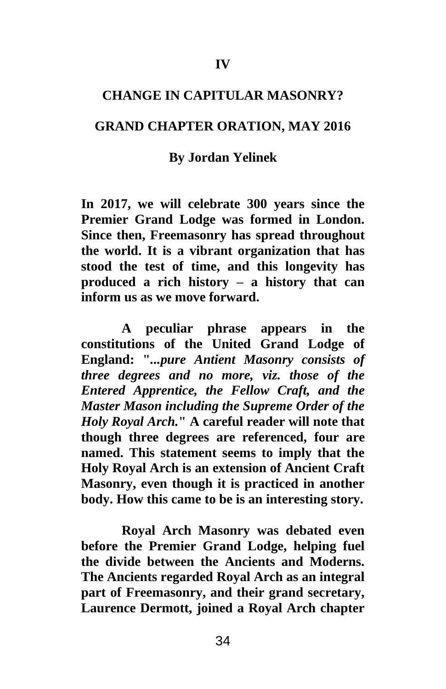#### **CHANGE IN CAPITULAR MASONRY?**

#### **GRAND CHAPTER ORATION, MAY 2016**

#### **By Jordan Yelinek**

**In 2017, we will celebrate 300 years since the Premier Grand Lodge was formed in London. Since then, Freemasonry has spread throughout the world. It is a vibrant organization that has stood the test of time, and this longevity has produced a rich history – a history that can inform us as we move forward.** 

**A peculiar phrase appears in the constitutions of the United Grand Lodge of England: "***...pure Antient Masonry consists of three degrees and no more, viz. those of the Entered Apprentice, the Fellow Craft, and the Master Mason including the Supreme Order of the Holy Royal Arch.***" A careful reader will note that though three degrees are referenced, four are named. This statement seems to imply that the Holy Royal Arch is an extension of Ancient Craft Masonry, even though it is practiced in another body. How this came to be is an interesting story.**

**Royal Arch Masonry was debated even before the Premier Grand Lodge, helping fuel the divide between the Ancients and Moderns. The Ancients regarded Royal Arch as an integral part of Freemasonry, and their grand secretary, Laurence Dermott, joined a Royal Arch chapter**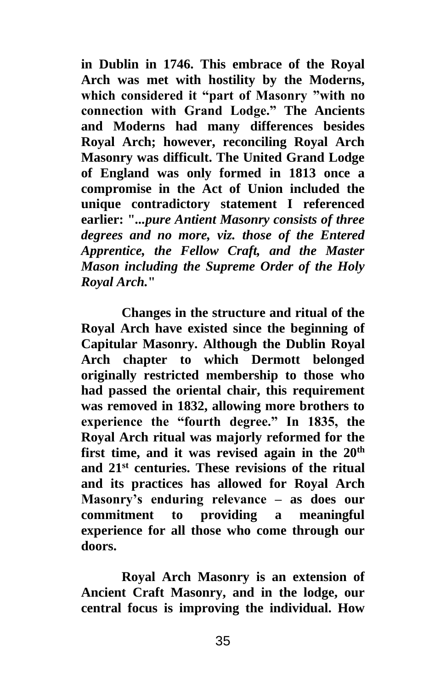**in Dublin in 1746. This embrace of the Royal Arch was met with hostility by the Moderns, which considered it "part of Masonry "with no connection with Grand Lodge." The Ancients and Moderns had many differences besides Royal Arch; however, reconciling Royal Arch Masonry was difficult. The United Grand Lodge of England was only formed in 1813 once a compromise in the Act of Union included the unique contradictory statement I referenced earlier: "***...pure Antient Masonry consists of three degrees and no more, viz. those of the Entered Apprentice, the Fellow Craft, and the Master Mason including the Supreme Order of the Holy Royal Arch.***"** 

**Changes in the structure and ritual of the Royal Arch have existed since the beginning of Capitular Masonry. Although the Dublin Royal Arch chapter to which Dermott belonged originally restricted membership to those who had passed the oriental chair, this requirement was removed in 1832, allowing more brothers to experience the "fourth degree." In 1835, the Royal Arch ritual was majorly reformed for the first time, and it was revised again in the 20th and 21st centuries. These revisions of the ritual and its practices has allowed for Royal Arch Masonry's enduring relevance – as does our commitment to providing a meaningful experience for all those who come through our doors.**

**Royal Arch Masonry is an extension of Ancient Craft Masonry, and in the lodge, our central focus is improving the individual. How**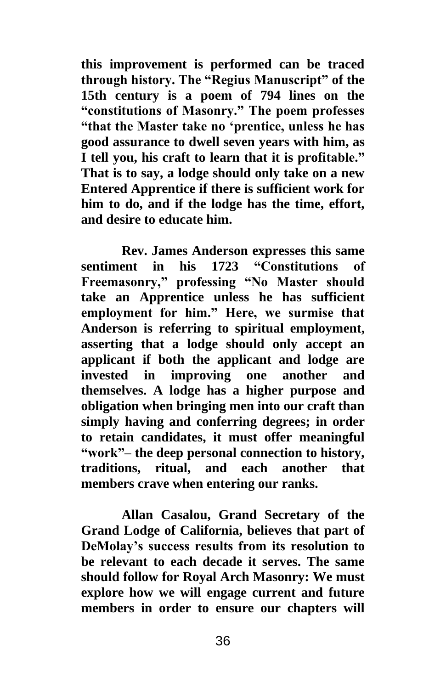**this improvement is performed can be traced through history. The "Regius Manuscript" of the 15th century is a poem of 794 lines on the "constitutions of Masonry." The poem professes "that the Master take no 'prentice, unless he has good assurance to dwell seven years with him, as I tell you, his craft to learn that it is profitable." That is to say, a lodge should only take on a new Entered Apprentice if there is sufficient work for him to do, and if the lodge has the time, effort, and desire to educate him.** 

**Rev. James Anderson expresses this same sentiment in his 1723 "Constitutions of Freemasonry," professing "No Master should take an Apprentice unless he has sufficient employment for him." Here, we surmise that Anderson is referring to spiritual employment, asserting that a lodge should only accept an applicant if both the applicant and lodge are invested in improving one another and themselves. A lodge has a higher purpose and obligation when bringing men into our craft than simply having and conferring degrees; in order to retain candidates, it must offer meaningful "work"– the deep personal connection to history, traditions, ritual, and each another that members crave when entering our ranks.**

**Allan Casalou, Grand Secretary of the Grand Lodge of California, believes that part of DeMolay's success results from its resolution to be relevant to each decade it serves. The same should follow for Royal Arch Masonry: We must explore how we will engage current and future members in order to ensure our chapters will**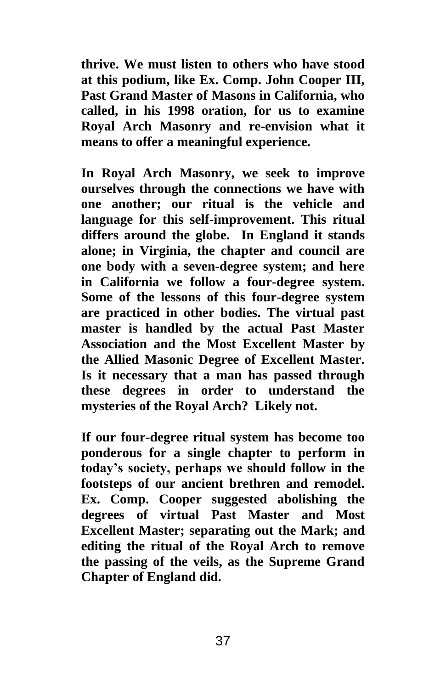**thrive. We must listen to others who have stood at this podium, like Ex. Comp. John Cooper III, Past Grand Master of Masons in California, who called, in his 1998 oration, for us to examine Royal Arch Masonry and re-envision what it means to offer a meaningful experience.** 

**In Royal Arch Masonry, we seek to improve ourselves through the connections we have with one another; our ritual is the vehicle and language for this self-improvement. This ritual differs around the globe. In England it stands alone; in Virginia, the chapter and council are one body with a seven-degree system; and here in California we follow a four-degree system. Some of the lessons of this four-degree system are practiced in other bodies. The virtual past master is handled by the actual Past Master Association and the Most Excellent Master by the Allied Masonic Degree of Excellent Master. Is it necessary that a man has passed through these degrees in order to understand the mysteries of the Royal Arch? Likely not.**

**If our four-degree ritual system has become too ponderous for a single chapter to perform in today's society, perhaps we should follow in the footsteps of our ancient brethren and remodel. Ex. Comp. Cooper suggested abolishing the degrees of virtual Past Master and Most Excellent Master; separating out the Mark; and editing the ritual of the Royal Arch to remove the passing of the veils, as the Supreme Grand Chapter of England did.**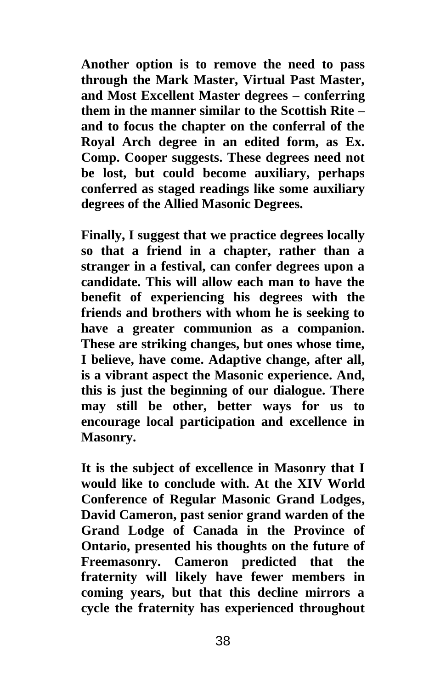**Another option is to remove the need to pass through the Mark Master, Virtual Past Master, and Most Excellent Master degrees – conferring them in the manner similar to the Scottish Rite – and to focus the chapter on the conferral of the Royal Arch degree in an edited form, as Ex. Comp. Cooper suggests. These degrees need not be lost, but could become auxiliary, perhaps conferred as staged readings like some auxiliary degrees of the Allied Masonic Degrees.** 

**Finally, I suggest that we practice degrees locally so that a friend in a chapter, rather than a stranger in a festival, can confer degrees upon a candidate. This will allow each man to have the benefit of experiencing his degrees with the friends and brothers with whom he is seeking to have a greater communion as a companion. These are striking changes, but ones whose time, I believe, have come. Adaptive change, after all, is a vibrant aspect the Masonic experience. And, this is just the beginning of our dialogue. There may still be other, better ways for us to encourage local participation and excellence in Masonry.** 

**It is the subject of excellence in Masonry that I would like to conclude with. At the XIV World Conference of Regular Masonic Grand Lodges, David Cameron, past senior grand warden of the Grand Lodge of Canada in the Province of Ontario, presented his thoughts on the future of Freemasonry. Cameron predicted that the fraternity will likely have fewer members in coming years, but that this decline mirrors a cycle the fraternity has experienced throughout**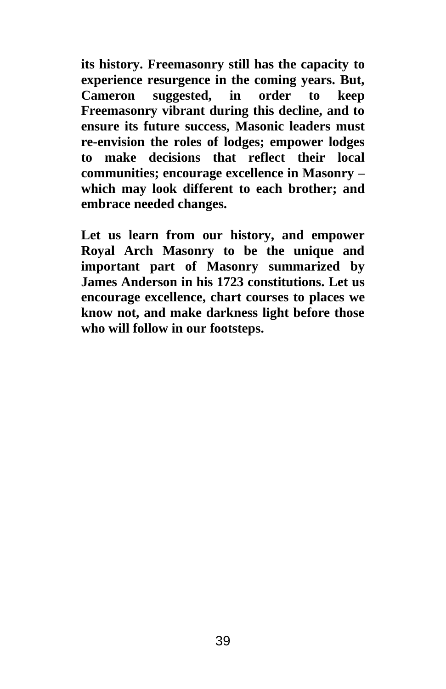**its history. Freemasonry still has the capacity to experience resurgence in the coming years. But, Cameron suggested, in order to keep Freemasonry vibrant during this decline, and to ensure its future success, Masonic leaders must re-envision the roles of lodges; empower lodges to make decisions that reflect their local communities; encourage excellence in Masonry – which may look different to each brother; and embrace needed changes.**

**Let us learn from our history, and empower Royal Arch Masonry to be the unique and important part of Masonry summarized by James Anderson in his 1723 constitutions. Let us encourage excellence, chart courses to places we know not, and make darkness light before those who will follow in our footsteps.**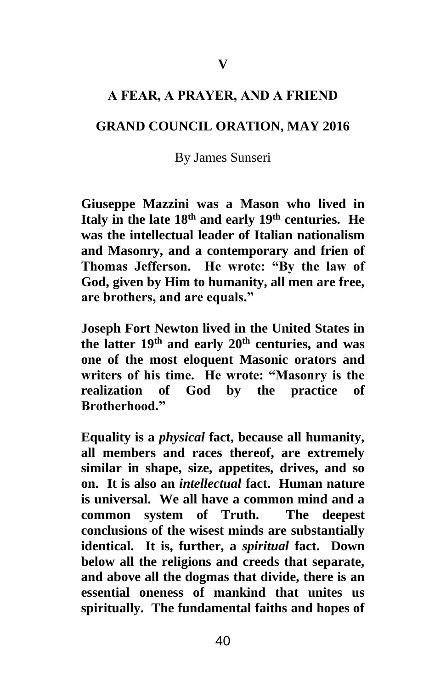### **A FEAR, A PRAYER, AND A FRIEND**

#### **GRAND COUNCIL ORATION, MAY 2016**

#### By James Sunseri

**Giuseppe Mazzini was a Mason who lived in Italy in the late 18th and early 19th centuries. He was the intellectual leader of Italian nationalism and Masonry, and a contemporary and frien of Thomas Jefferson. He wrote: "By the law of God, given by Him to humanity, all men are free, are brothers, and are equals."**

**Joseph Fort Newton lived in the United States in the latter 19th and early 20th centuries, and was one of the most eloquent Masonic orators and writers of his time. He wrote: "Masonry is the realization of God by the practice of Brotherhood."**

**Equality is a** *physical* **fact, because all humanity, all members and races thereof, are extremely similar in shape, size, appetites, drives, and so on. It is also an** *intellectual* **fact. Human nature is universal. We all have a common mind and a common system of Truth. The deepest conclusions of the wisest minds are substantially identical. It is, further, a** *spiritual* **fact. Down below all the religions and creeds that separate, and above all the dogmas that divide, there is an essential oneness of mankind that unites us spiritually. The fundamental faiths and hopes of**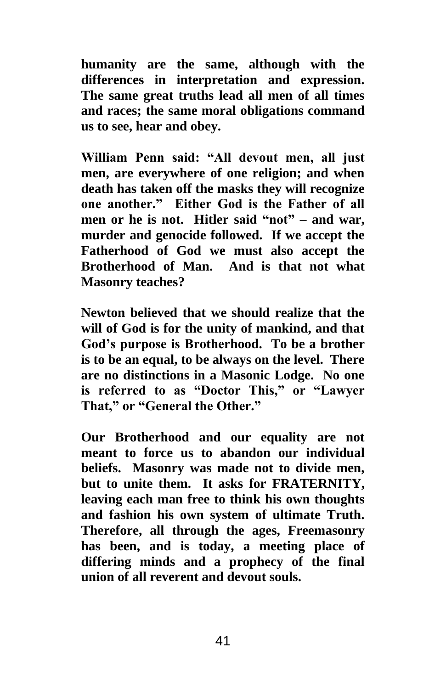**humanity are the same, although with the differences in interpretation and expression. The same great truths lead all men of all times and races; the same moral obligations command us to see, hear and obey.**

**William Penn said: "All devout men, all just men, are everywhere of one religion; and when death has taken off the masks they will recognize one another." Either God is the Father of all men or he is not. Hitler said "not" – and war, murder and genocide followed. If we accept the Fatherhood of God we must also accept the Brotherhood of Man. And is that not what Masonry teaches?**

**Newton believed that we should realize that the will of God is for the unity of mankind, and that God's purpose is Brotherhood. To be a brother is to be an equal, to be always on the level. There are no distinctions in a Masonic Lodge. No one is referred to as "Doctor This," or "Lawyer That," or "General the Other."**

**Our Brotherhood and our equality are not meant to force us to abandon our individual beliefs. Masonry was made not to divide men, but to unite them. It asks for FRATERNITY, leaving each man free to think his own thoughts and fashion his own system of ultimate Truth. Therefore, all through the ages, Freemasonry has been, and is today, a meeting place of differing minds and a prophecy of the final union of all reverent and devout souls.**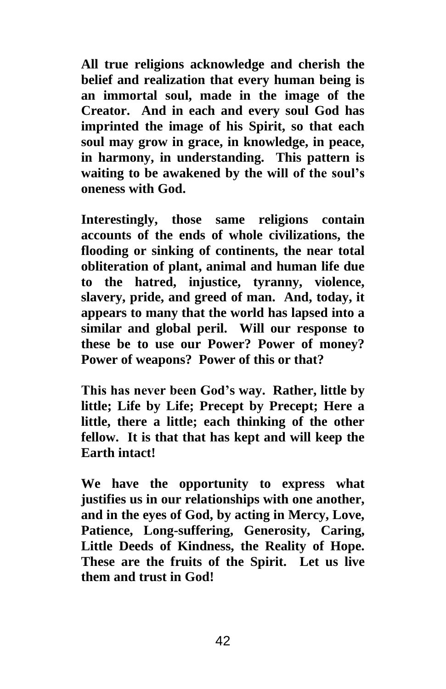**All true religions acknowledge and cherish the belief and realization that every human being is an immortal soul, made in the image of the Creator. And in each and every soul God has imprinted the image of his Spirit, so that each soul may grow in grace, in knowledge, in peace, in harmony, in understanding. This pattern is waiting to be awakened by the will of the soul's oneness with God.**

**Interestingly, those same religions contain accounts of the ends of whole civilizations, the flooding or sinking of continents, the near total obliteration of plant, animal and human life due to the hatred, injustice, tyranny, violence, slavery, pride, and greed of man. And, today, it appears to many that the world has lapsed into a similar and global peril. Will our response to these be to use our Power? Power of money? Power of weapons? Power of this or that?**

**This has never been God's way. Rather, little by little; Life by Life; Precept by Precept; Here a little, there a little; each thinking of the other fellow. It is that that has kept and will keep the Earth intact!**

**We have the opportunity to express what justifies us in our relationships with one another, and in the eyes of God, by acting in Mercy, Love, Patience, Long-suffering, Generosity, Caring, Little Deeds of Kindness, the Reality of Hope. These are the fruits of the Spirit. Let us live them and trust in God!**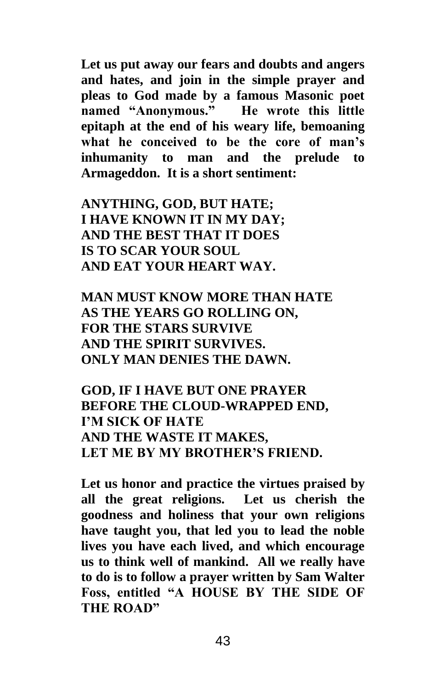**Let us put away our fears and doubts and angers and hates, and join in the simple prayer and pleas to God made by a famous Masonic poet named "Anonymous." He wrote this little epitaph at the end of his weary life, bemoaning what he conceived to be the core of man's inhumanity to man and the prelude to Armageddon. It is a short sentiment:**

**ANYTHING, GOD, BUT HATE; I HAVE KNOWN IT IN MY DAY; AND THE BEST THAT IT DOES IS TO SCAR YOUR SOUL AND EAT YOUR HEART WAY.**

**MAN MUST KNOW MORE THAN HATE AS THE YEARS GO ROLLING ON, FOR THE STARS SURVIVE AND THE SPIRIT SURVIVES. ONLY MAN DENIES THE DAWN.**

**GOD, IF I HAVE BUT ONE PRAYER BEFORE THE CLOUD-WRAPPED END, I'M SICK OF HATE AND THE WASTE IT MAKES, LET ME BY MY BROTHER'S FRIEND.**

**Let us honor and practice the virtues praised by all the great religions. Let us cherish the goodness and holiness that your own religions have taught you, that led you to lead the noble lives you have each lived, and which encourage us to think well of mankind. All we really have to do is to follow a prayer written by Sam Walter Foss, entitled "A HOUSE BY THE SIDE OF THE ROAD"**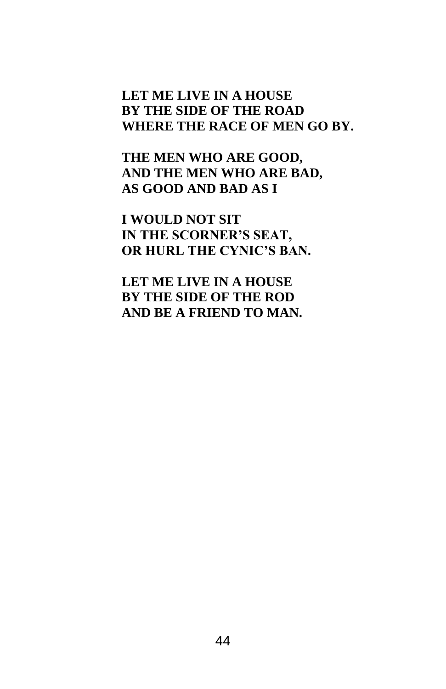# **LET ME LIVE IN A HOUSE BY THE SIDE OF THE ROAD WHERE THE RACE OF MEN GO BY.**

**THE MEN WHO ARE GOOD, AND THE MEN WHO ARE BAD, AS GOOD AND BAD AS I**

**I WOULD NOT SIT IN THE SCORNER'S SEAT, OR HURL THE CYNIC'S BAN.**

**LET ME LIVE IN A HOUSE BY THE SIDE OF THE ROD AND BE A FRIEND TO MAN.**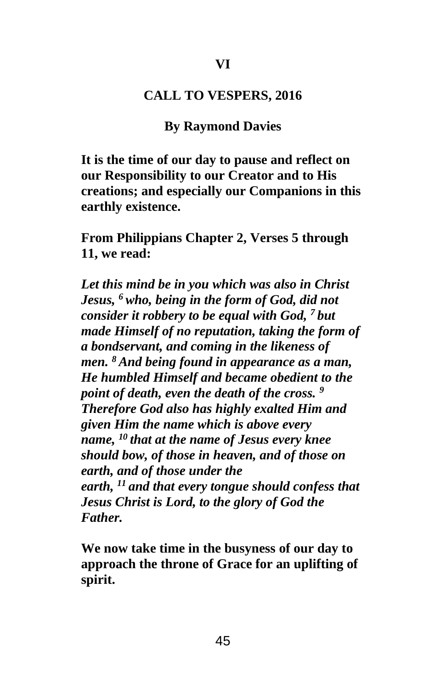#### **CALL TO VESPERS, 2016**

### **By Raymond Davies**

**It is the time of our day to pause and reflect on our Responsibility to our Creator and to His creations; and especially our Companions in this earthly existence.**

**From Philippians Chapter 2, Verses 5 through 11, we read:**

*Let this mind be in you which was also in Christ Jesus, <sup>6</sup> who, being in the form of God, did not consider it robbery to be equal with God, <sup>7</sup> but made Himself of no reputation, taking the form of a bondservant, and coming in the likeness of men. <sup>8</sup> And being found in appearance as a man, He humbled Himself and became obedient to the point of death, even the death of the cross. <sup>9</sup> Therefore God also has highly exalted Him and given Him the name which is above every name, <sup>10</sup> that at the name of Jesus every knee should bow, of those in heaven, and of those on earth, and of those under the earth, <sup>11</sup> and that every tongue should confess that Jesus Christ is Lord, to the glory of God the Father.*

**We now take time in the busyness of our day to approach the throne of Grace for an uplifting of spirit.**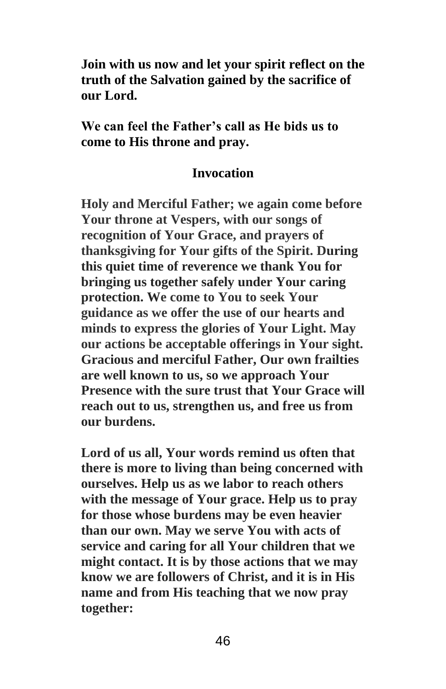**Join with us now and let your spirit reflect on the truth of the Salvation gained by the sacrifice of our Lord.** 

**We can feel the Father's call as He bids us to come to His throne and pray.**

### **Invocation**

**Holy and Merciful Father; we again come before Your throne at Vespers, with our songs of recognition of Your Grace, and prayers of thanksgiving for Your gifts of the Spirit. During this quiet time of reverence we thank You for bringing us together safely under Your caring protection. We come to You to seek Your guidance as we offer the use of our hearts and minds to express the glories of Your Light. May our actions be acceptable offerings in Your sight. Gracious and merciful Father, Our own frailties are well known to us, so we approach Your Presence with the sure trust that Your Grace will reach out to us, strengthen us, and free us from our burdens.** 

**Lord of us all, Your words remind us often that there is more to living than being concerned with ourselves. Help us as we labor to reach others with the message of Your grace. Help us to pray for those whose burdens may be even heavier than our own. May we serve You with acts of service and caring for all Your children that we might contact. It is by those actions that we may know we are followers of Christ, and it is in His name and from His teaching that we now pray together:**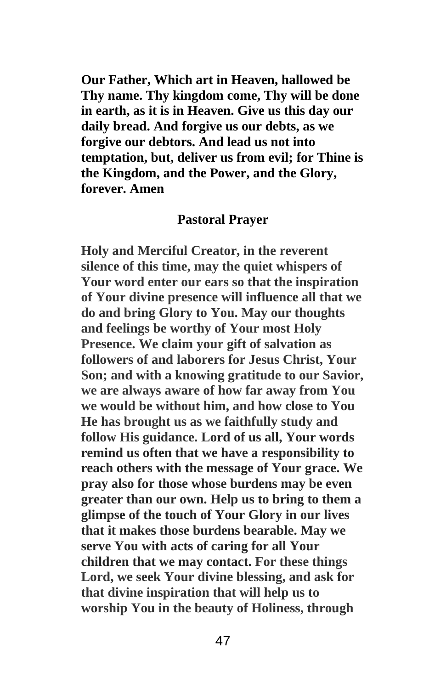**Our Father, Which art in Heaven, hallowed be Thy name. Thy kingdom come, Thy will be done in earth, as it is in Heaven. Give us this day our daily bread. And forgive us our debts, as we forgive our debtors. And lead us not into temptation, but, deliver us from evil; for Thine is the Kingdom, and the Power, and the Glory, forever. Amen** 

### **Pastoral Prayer**

**Holy and Merciful Creator, in the reverent silence of this time, may the quiet whispers of Your word enter our ears so that the inspiration of Your divine presence will influence all that we do and bring Glory to You. May our thoughts and feelings be worthy of Your most Holy Presence. We claim your gift of salvation as followers of and laborers for Jesus Christ, Your Son; and with a knowing gratitude to our Savior, we are always aware of how far away from You we would be without him, and how close to You He has brought us as we faithfully study and follow His guidance. Lord of us all, Your words remind us often that we have a responsibility to reach others with the message of Your grace. We pray also for those whose burdens may be even greater than our own. Help us to bring to them a glimpse of the touch of Your Glory in our lives that it makes those burdens bearable. May we serve You with acts of caring for all Your children that we may contact. For these things Lord, we seek Your divine blessing, and ask for that divine inspiration that will help us to worship You in the beauty of Holiness, through**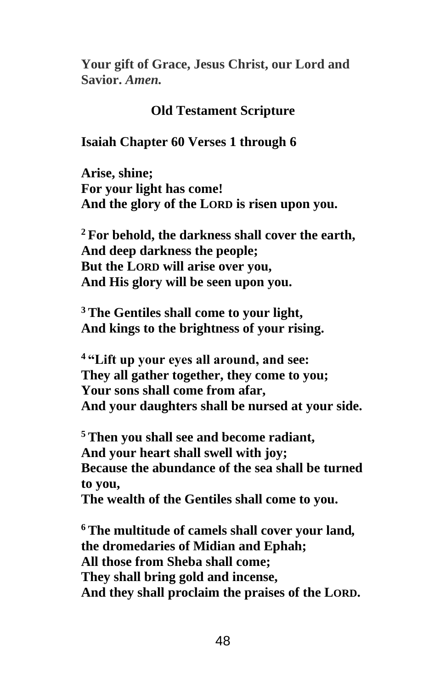**Your gift of Grace, Jesus Christ, our Lord and Savior.** *Amen.*

### **Old Testament Scripture**

### **Isaiah Chapter 60 Verses 1 through 6**

**Arise, shine; For your light has come! And the glory of the LORD is risen upon you.**

**<sup>2</sup> For behold, the darkness shall cover the earth, And deep darkness the people; But the LORD will arise over you, And His glory will be seen upon you.**

**<sup>3</sup> The Gentiles shall come to your light, And kings to the brightness of your rising.**

**<sup>4</sup> "Lift up your eyes all around, and see: They all gather together, they come to you; Your sons shall come from afar, And your daughters shall be nursed at your side.**

**<sup>5</sup> Then you shall see and become radiant, And your heart shall swell with joy; Because the abundance of the sea shall be turned to you,**

**The wealth of the Gentiles shall come to you.**

**<sup>6</sup> The multitude of camels shall cover your land***,* **the dromedaries of Midian and Ephah; All those from Sheba shall come; They shall bring gold and incense, And they shall proclaim the praises of the LORD.**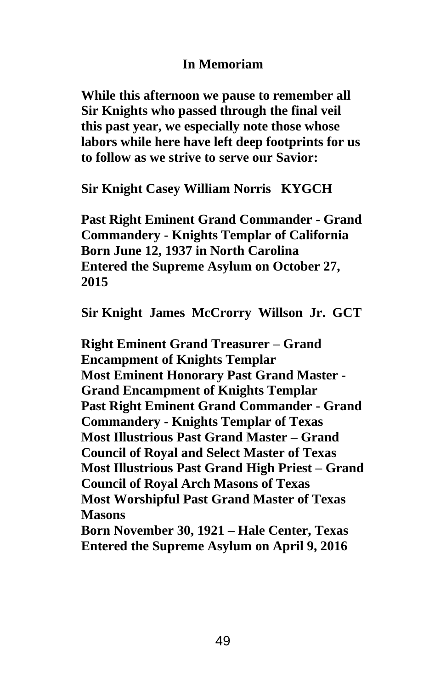# **In Memoriam**

**While this afternoon we pause to remember all Sir Knights who passed through the final veil this past year, we especially note those whose labors while here have left deep footprints for us to follow as we strive to serve our Savior:**

**Sir Knight Casey William Norris KYGCH**

**Past Right Eminent Grand Commander - Grand Commandery - Knights Templar of California Born June 12, 1937 in North Carolina Entered the Supreme Asylum on October 27, 2015**

**Sir Knight James McCrorry Willson Jr. GCT**

**Right Eminent Grand Treasurer – Grand Encampment of Knights Templar Most Eminent Honorary Past Grand Master - Grand Encampment of Knights Templar Past Right Eminent Grand Commander - Grand Commandery - Knights Templar of Texas Most Illustrious Past Grand Master – Grand Council of Royal and Select Master of Texas Most Illustrious Past Grand High Priest – Grand Council of Royal Arch Masons of Texas Most Worshipful Past Grand Master of Texas Masons Born November 30, 1921 – Hale Center, Texas**

**Entered the Supreme Asylum on April 9, 2016**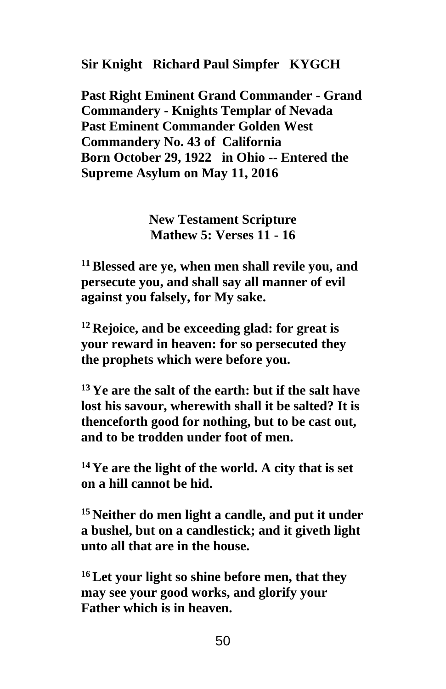**Sir Knight Richard Paul Simpfer KYGCH**

**Past Right Eminent Grand Commander - Grand Commandery - Knights Templar of Nevada Past Eminent Commander Golden West Commandery No. 43 of California Born October 29, 1922 in Ohio -- Entered the Supreme Asylum on May 11, 2016**

> **New Testament Scripture Mathew 5: Verses 11 - 16**

**<sup>11</sup>Blessed are ye, when men shall revile you, and persecute you, and shall say all manner of evil against you falsely, for My sake.**

**<sup>12</sup> Rejoice, and be exceeding glad: for great is your reward in heaven: for so persecuted they the prophets which were before you.**

**<sup>13</sup> Ye are the salt of the earth: but if the salt have lost his savour, wherewith shall it be salted? It is thenceforth good for nothing, but to be cast out, and to be trodden under foot of men.**

**<sup>14</sup> Ye are the light of the world. A city that is set on a hill cannot be hid.**

**<sup>15</sup> Neither do men light a candle, and put it under a bushel, but on a candlestick; and it giveth light unto all that are in the house.**

**<sup>16</sup>Let your light so shine before men, that they may see your good works, and glorify your Father which is in heaven.**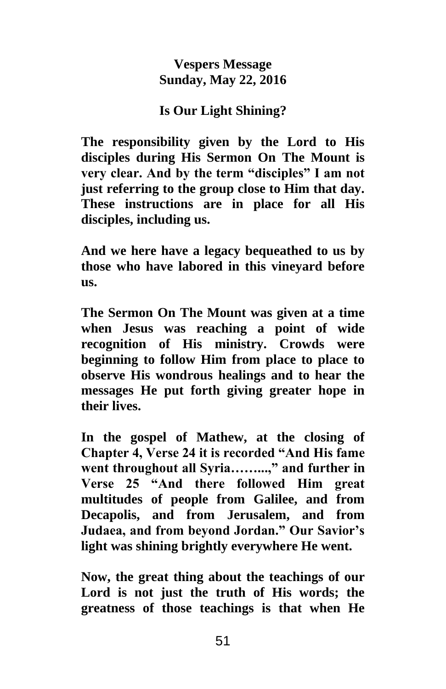### **Vespers Message Sunday, May 22, 2016**

# **Is Our Light Shining?**

**The responsibility given by the Lord to His disciples during His Sermon On The Mount is very clear. And by the term "disciples" I am not just referring to the group close to Him that day. These instructions are in place for all His disciples, including us.** 

**And we here have a legacy bequeathed to us by those who have labored in this vineyard before us.** 

**The Sermon On The Mount was given at a time when Jesus was reaching a point of wide recognition of His ministry. Crowds were beginning to follow Him from place to place to observe His wondrous healings and to hear the messages He put forth giving greater hope in their lives.** 

**In the gospel of Mathew, at the closing of Chapter 4, Verse 24 it is recorded "And His fame went throughout all Syria……...," and further in Verse 25 "And there followed Him great multitudes of people from Galilee, and from Decapolis, and from Jerusalem, and from Judaea, and from beyond Jordan." Our Savior's light was shining brightly everywhere He went.**

**Now, the great thing about the teachings of our Lord is not just the truth of His words; the greatness of those teachings is that when He**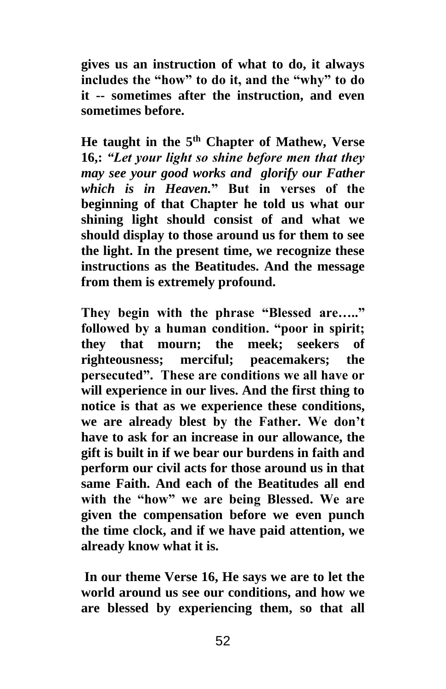**gives us an instruction of what to do, it always includes the "how" to do it, and the "why" to do it -- sometimes after the instruction, and even sometimes before.** 

**He taught in the 5th Chapter of Mathew, Verse 16,:** *"Let your light so shine before men that they may see your good works and glorify our Father which is in Heaven.***" But in verses of the beginning of that Chapter he told us what our shining light should consist of and what we should display to those around us for them to see the light. In the present time, we recognize these instructions as the Beatitudes. And the message from them is extremely profound.** 

**They begin with the phrase "Blessed are….." followed by a human condition. "poor in spirit; they that mourn; the meek; seekers of righteousness; merciful; peacemakers; the persecuted". These are conditions we all have or will experience in our lives. And the first thing to notice is that as we experience these conditions, we are already blest by the Father. We don't have to ask for an increase in our allowance, the gift is built in if we bear our burdens in faith and perform our civil acts for those around us in that same Faith. And each of the Beatitudes all end with the "how" we are being Blessed. We are given the compensation before we even punch the time clock, and if we have paid attention, we already know what it is.**

**In our theme Verse 16, He says we are to let the world around us see our conditions, and how we are blessed by experiencing them, so that all**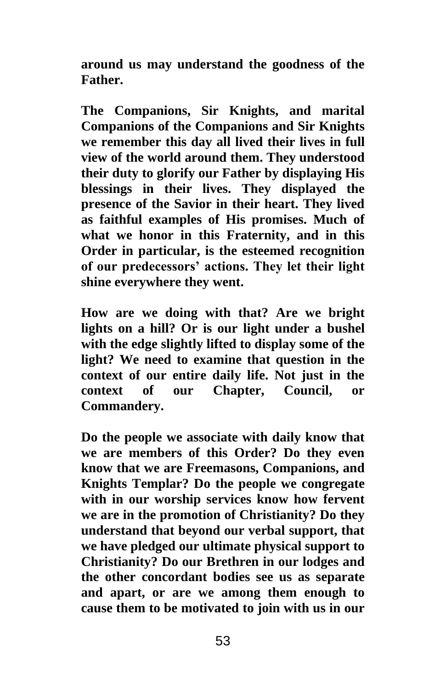**around us may understand the goodness of the Father.** 

**The Companions, Sir Knights, and marital Companions of the Companions and Sir Knights we remember this day all lived their lives in full view of the world around them. They understood their duty to glorify our Father by displaying His blessings in their lives. They displayed the presence of the Savior in their heart. They lived as faithful examples of His promises. Much of what we honor in this Fraternity, and in this Order in particular, is the esteemed recognition of our predecessors' actions. They let their light shine everywhere they went.** 

**How are we doing with that? Are we bright lights on a hill? Or is our light under a bushel with the edge slightly lifted to display some of the light? We need to examine that question in the context of our entire daily life. Not just in the context of our Chapter, Council, or Commandery.** 

**Do the people we associate with daily know that we are members of this Order? Do they even know that we are Freemasons, Companions, and Knights Templar? Do the people we congregate with in our worship services know how fervent we are in the promotion of Christianity? Do they understand that beyond our verbal support, that we have pledged our ultimate physical support to Christianity? Do our Brethren in our lodges and the other concordant bodies see us as separate and apart, or are we among them enough to cause them to be motivated to join with us in our**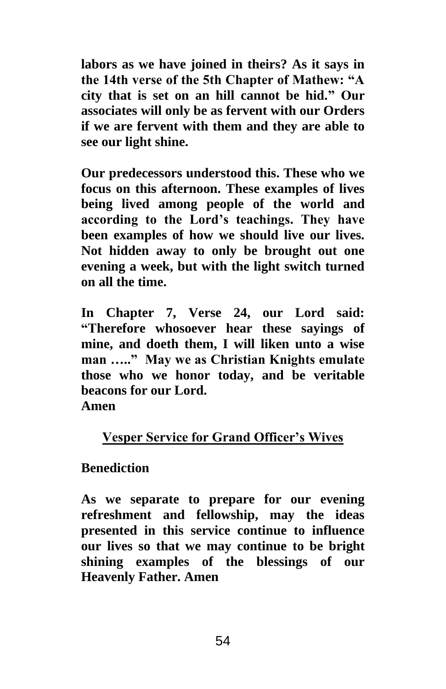**labors as we have joined in theirs? As it says in the 14th verse of the 5th Chapter of Mathew: "A city that is set on an hill cannot be hid." Our associates will only be as fervent with our Orders if we are fervent with them and they are able to see our light shine.**

**Our predecessors understood this. These who we focus on this afternoon. These examples of lives being lived among people of the world and according to the Lord's teachings. They have been examples of how we should live our lives. Not hidden away to only be brought out one evening a week, but with the light switch turned on all the time.** 

**In Chapter 7, Verse 24, our Lord said: "Therefore whosoever hear these sayings of mine, and doeth them, I will liken unto a wise man ….." May we as Christian Knights emulate those who we honor today, and be veritable beacons for our Lord.**

**Amen**

# **Vesper Service for Grand Officer's Wives**

# **Benediction**

**As we separate to prepare for our evening refreshment and fellowship, may the ideas presented in this service continue to influence our lives so that we may continue to be bright shining examples of the blessings of our Heavenly Father. Amen**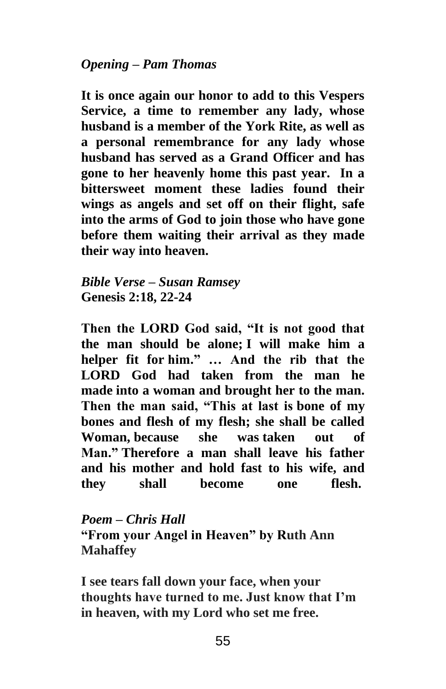**It is once again our honor to add to this Vespers Service, a time to remember any lady, whose husband is a member of the York Rite, as well as a personal remembrance for any lady whose husband has served as a Grand Officer and has gone to her heavenly home this past year. In a bittersweet moment these ladies found their wings as angels and set off on their flight, safe into the arms of God to join those who have gone before them waiting their arrival as they made their way into heaven.**

*Bible Verse – Susan Ramsey* **Genesis 2:18, 22-24** 

**Then the LORD God said, "It is not good that the man should be alone; I will make him a helper fit for him." … And the rib that the LORD God had taken from the man he made into a woman and brought her to the man. Then the man said, "This at last is bone of my bones and flesh of my flesh; she shall be called Woman, because she was taken out of Man." Therefore a man shall leave his father and his mother and hold fast to his wife, and they shall become one flesh.**

*Poem – Chris Hall* **"From your Angel in Heaven" by Ruth Ann Mahaffey**

**I see tears fall down your face, when your thoughts have turned to me. Just know that I'm in heaven, with my Lord who set me free.**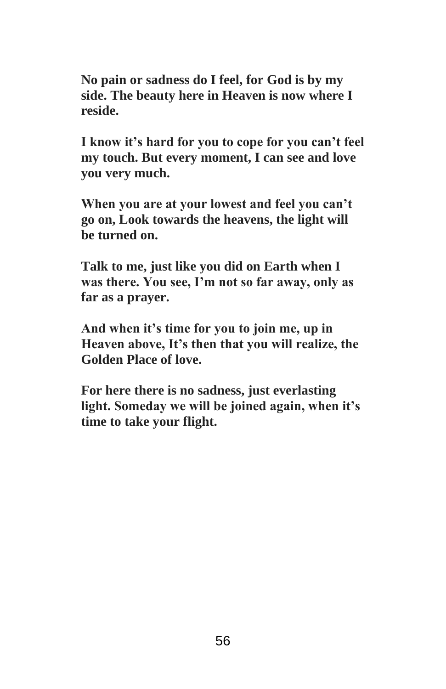**No pain or sadness do I feel, for God is by my side. The beauty here in Heaven is now where I reside.**

**I know it's hard for you to cope for you can't feel my touch. But every moment, I can see and love you very much.**

**When you are at your lowest and feel you can't go on, Look towards the heavens, the light will be turned on.**

**Talk to me, just like you did on Earth when I was there. You see, I'm not so far away, only as far as a prayer.**

**And when it's time for you to join me, up in Heaven above, It's then that you will realize, the Golden Place of love.**

**For here there is no sadness, just everlasting light. Someday we will be joined again, when it's time to take your flight.**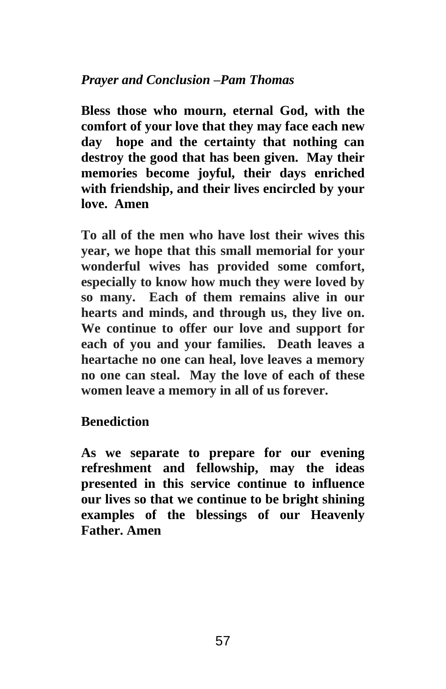# *Prayer and Conclusion –Pam Thomas*

**Bless those who mourn, eternal God, with the comfort of your love that they may face each new day hope and the certainty that nothing can destroy the good that has been given. May their memories become joyful, their days enriched with friendship, and their lives encircled by your love. Amen**

**To all of the men who have lost their wives this year, we hope that this small memorial for your wonderful wives has provided some comfort, especially to know how much they were loved by so many. Each of them remains alive in our hearts and minds, and through us, they live on. We continue to offer our love and support for each of you and your families. Death leaves a heartache no one can heal, love leaves a memory no one can steal. May the love of each of these women leave a memory in all of us forever.**

# **Benediction**

**As we separate to prepare for our evening refreshment and fellowship, may the ideas presented in this service continue to influence our lives so that we continue to be bright shining examples of the blessings of our Heavenly Father. Amen**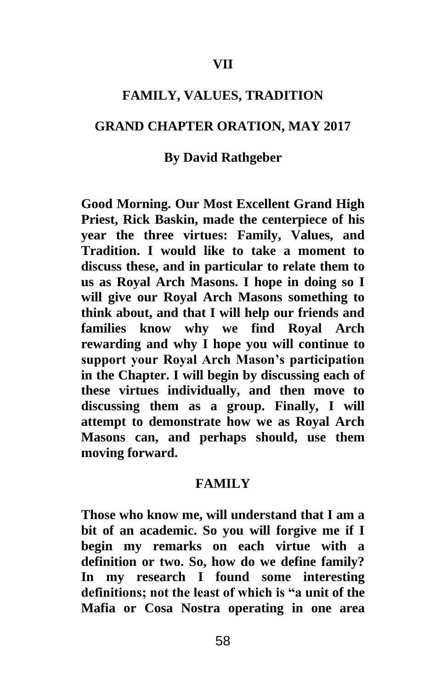### **VII**

#### **FAMILY, VALUES, TRADITION**

#### **GRAND CHAPTER ORATION, MAY 2017**

#### **By David Rathgeber**

**Good Morning. Our Most Excellent Grand High Priest, Rick Baskin, made the centerpiece of his year the three virtues: Family, Values, and Tradition. I would like to take a moment to discuss these, and in particular to relate them to us as Royal Arch Masons. I hope in doing so I will give our Royal Arch Masons something to think about, and that I will help our friends and families know why we find Royal Arch rewarding and why I hope you will continue to support your Royal Arch Mason's participation in the Chapter. I will begin by discussing each of these virtues individually, and then move to discussing them as a group. Finally, I will attempt to demonstrate how we as Royal Arch Masons can, and perhaps should, use them moving forward.**

#### **FAMILY**

**Those who know me, will understand that I am a bit of an academic. So you will forgive me if I begin my remarks on each virtue with a definition or two. So, how do we define family? In my research I found some interesting definitions; not the least of which is "a unit of the Mafia or Cosa Nostra operating in one area**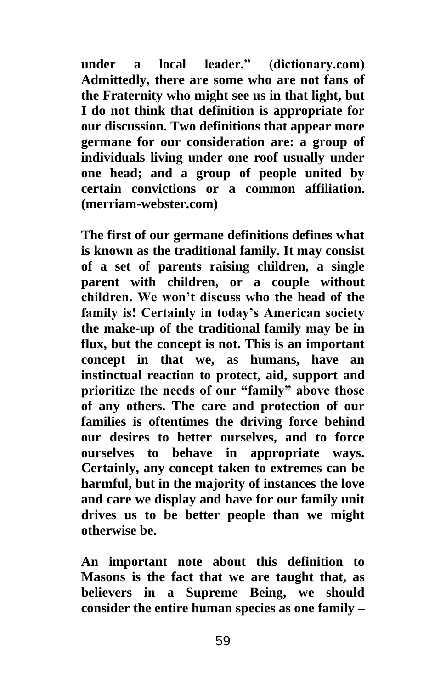**under a local leader." (dictionary.com) Admittedly, there are some who are not fans of the Fraternity who might see us in that light, but I do not think that definition is appropriate for our discussion. Two definitions that appear more germane for our consideration are: a group of individuals living under one roof usually under one head; and a group of people united by certain convictions or a common affiliation. (merriam-webster.com)** 

**The first of our germane definitions defines what is known as the traditional family. It may consist of a set of parents raising children, a single parent with children, or a couple without children. We won't discuss who the head of the family is! Certainly in today's American society the make-up of the traditional family may be in flux, but the concept is not. This is an important concept in that we, as humans, have an instinctual reaction to protect, aid, support and prioritize the needs of our "family" above those of any others. The care and protection of our families is oftentimes the driving force behind our desires to better ourselves, and to force ourselves to behave in appropriate ways. Certainly, any concept taken to extremes can be harmful, but in the majority of instances the love and care we display and have for our family unit drives us to be better people than we might otherwise be.** 

**An important note about this definition to Masons is the fact that we are taught that, as believers in a Supreme Being, we should consider the entire human species as one family –**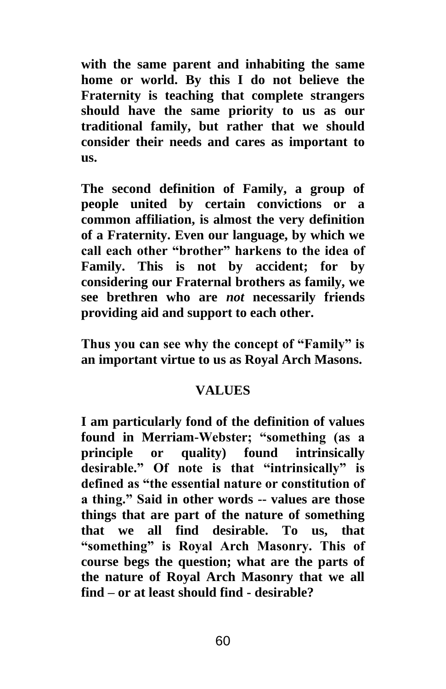**with the same parent and inhabiting the same home or world. By this I do not believe the Fraternity is teaching that complete strangers should have the same priority to us as our traditional family, but rather that we should consider their needs and cares as important to us.** 

**The second definition of Family, a group of people united by certain convictions or a common affiliation, is almost the very definition of a Fraternity. Even our language, by which we call each other "brother" harkens to the idea of Family. This is not by accident; for by considering our Fraternal brothers as family, we see brethren who are** *not* **necessarily friends providing aid and support to each other.** 

**Thus you can see why the concept of "Family" is an important virtue to us as Royal Arch Masons.**

### **VALUES**

**I am particularly fond of the definition of values found in Merriam-Webster; "something (as a principle or quality) found intrinsically desirable." Of note is that "intrinsically" is defined as "the essential nature or constitution of a thing." Said in other words -- values are those things that are part of the nature of something that we all find desirable. To us, that "something" is Royal Arch Masonry. This of course begs the question; what are the parts of the nature of Royal Arch Masonry that we all find – or at least should find - desirable?**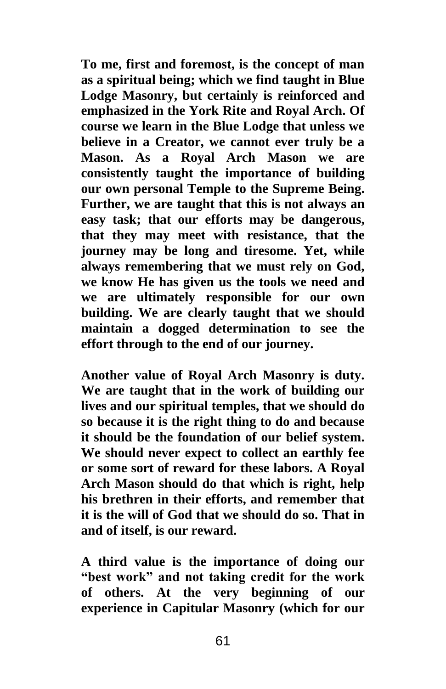**To me, first and foremost, is the concept of man as a spiritual being; which we find taught in Blue Lodge Masonry, but certainly is reinforced and emphasized in the York Rite and Royal Arch. Of course we learn in the Blue Lodge that unless we believe in a Creator, we cannot ever truly be a Mason. As a Royal Arch Mason we are consistently taught the importance of building our own personal Temple to the Supreme Being. Further, we are taught that this is not always an easy task; that our efforts may be dangerous, that they may meet with resistance, that the journey may be long and tiresome. Yet, while always remembering that we must rely on God, we know He has given us the tools we need and we are ultimately responsible for our own building. We are clearly taught that we should maintain a dogged determination to see the effort through to the end of our journey.**

**Another value of Royal Arch Masonry is duty. We are taught that in the work of building our lives and our spiritual temples, that we should do so because it is the right thing to do and because it should be the foundation of our belief system. We should never expect to collect an earthly fee or some sort of reward for these labors. A Royal Arch Mason should do that which is right, help his brethren in their efforts, and remember that it is the will of God that we should do so. That in and of itself, is our reward.**

**A third value is the importance of doing our "best work" and not taking credit for the work of others. At the very beginning of our experience in Capitular Masonry (which for our**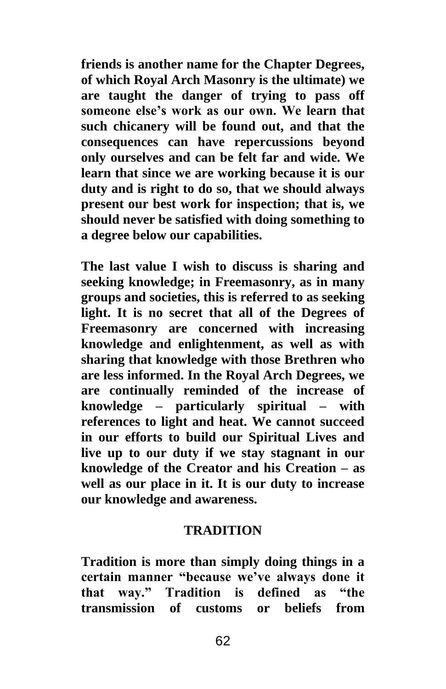**friends is another name for the Chapter Degrees, of which Royal Arch Masonry is the ultimate) we are taught the danger of trying to pass off someone else's work as our own. We learn that such chicanery will be found out, and that the consequences can have repercussions beyond only ourselves and can be felt far and wide. We learn that since we are working because it is our duty and is right to do so, that we should always present our best work for inspection; that is, we should never be satisfied with doing something to a degree below our capabilities.**

**The last value I wish to discuss is sharing and seeking knowledge; in Freemasonry, as in many groups and societies, this is referred to as seeking light. It is no secret that all of the Degrees of Freemasonry are concerned with increasing knowledge and enlightenment, as well as with sharing that knowledge with those Brethren who are less informed. In the Royal Arch Degrees, we are continually reminded of the increase of knowledge – particularly spiritual – with references to light and heat. We cannot succeed in our efforts to build our Spiritual Lives and live up to our duty if we stay stagnant in our knowledge of the Creator and his Creation – as well as our place in it. It is our duty to increase our knowledge and awareness.**

### **TRADITION**

**Tradition is more than simply doing things in a certain manner "because we've always done it that way." Tradition is defined as "the transmission of customs or beliefs from**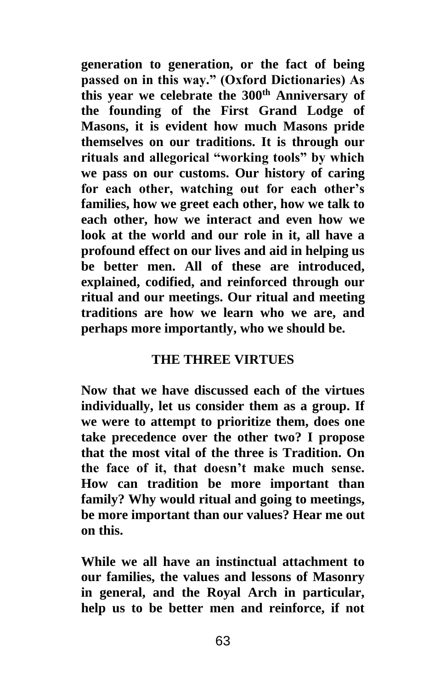**generation to generation, or the fact of being passed on in this way." (Oxford Dictionaries) As this year we celebrate the 300th Anniversary of the founding of the First Grand Lodge of Masons, it is evident how much Masons pride themselves on our traditions. It is through our rituals and allegorical "working tools" by which we pass on our customs. Our history of caring for each other, watching out for each other's families, how we greet each other, how we talk to each other, how we interact and even how we look at the world and our role in it, all have a profound effect on our lives and aid in helping us be better men. All of these are introduced, explained, codified, and reinforced through our ritual and our meetings. Our ritual and meeting traditions are how we learn who we are, and perhaps more importantly, who we should be.**

# **THE THREE VIRTUES**

**Now that we have discussed each of the virtues individually, let us consider them as a group. If we were to attempt to prioritize them, does one take precedence over the other two? I propose that the most vital of the three is Tradition. On the face of it, that doesn't make much sense. How can tradition be more important than family? Why would ritual and going to meetings, be more important than our values? Hear me out on this.** 

**While we all have an instinctual attachment to our families, the values and lessons of Masonry in general, and the Royal Arch in particular, help us to be better men and reinforce, if not**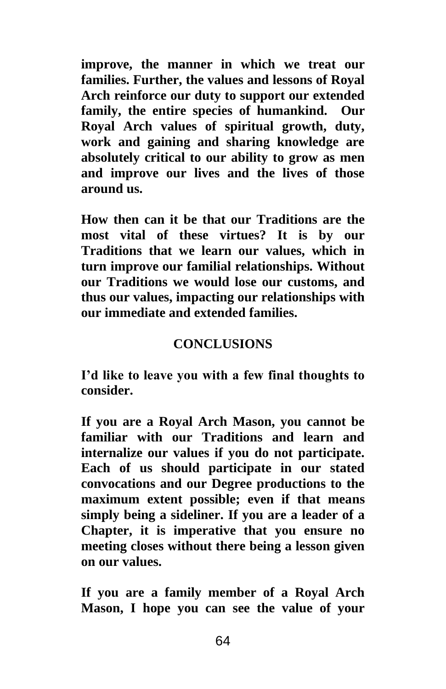**improve, the manner in which we treat our families. Further, the values and lessons of Royal Arch reinforce our duty to support our extended family, the entire species of humankind. Our Royal Arch values of spiritual growth, duty, work and gaining and sharing knowledge are absolutely critical to our ability to grow as men and improve our lives and the lives of those around us.**

**How then can it be that our Traditions are the most vital of these virtues? It is by our Traditions that we learn our values, which in turn improve our familial relationships. Without our Traditions we would lose our customs, and thus our values, impacting our relationships with our immediate and extended families.**

# **CONCLUSIONS**

**I'd like to leave you with a few final thoughts to consider.** 

**If you are a Royal Arch Mason, you cannot be familiar with our Traditions and learn and internalize our values if you do not participate. Each of us should participate in our stated convocations and our Degree productions to the maximum extent possible; even if that means simply being a sideliner. If you are a leader of a Chapter, it is imperative that you ensure no meeting closes without there being a lesson given on our values.**

**If you are a family member of a Royal Arch Mason, I hope you can see the value of your**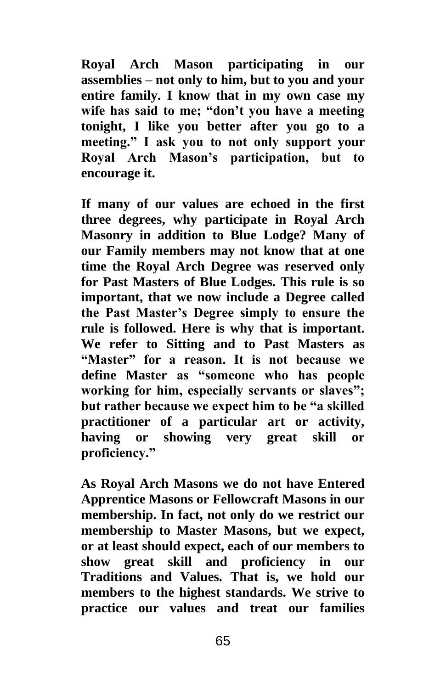**Royal Arch Mason participating in our assemblies – not only to him, but to you and your entire family. I know that in my own case my wife has said to me; "don't you have a meeting tonight, I like you better after you go to a meeting." I ask you to not only support your Royal Arch Mason's participation, but to encourage it.**

**If many of our values are echoed in the first three degrees, why participate in Royal Arch Masonry in addition to Blue Lodge? Many of our Family members may not know that at one time the Royal Arch Degree was reserved only for Past Masters of Blue Lodges. This rule is so important, that we now include a Degree called the Past Master's Degree simply to ensure the rule is followed. Here is why that is important. We refer to Sitting and to Past Masters as "Master" for a reason. It is not because we define Master as "someone who has people working for him, especially servants or slaves"; but rather because we expect him to be "a skilled practitioner of a particular art or activity, having or showing very great skill or proficiency."** 

**As Royal Arch Masons we do not have Entered Apprentice Masons or Fellowcraft Masons in our membership. In fact, not only do we restrict our membership to Master Masons, but we expect, or at least should expect, each of our members to show great skill and proficiency in our Traditions and Values. That is, we hold our members to the highest standards. We strive to practice our values and treat our families**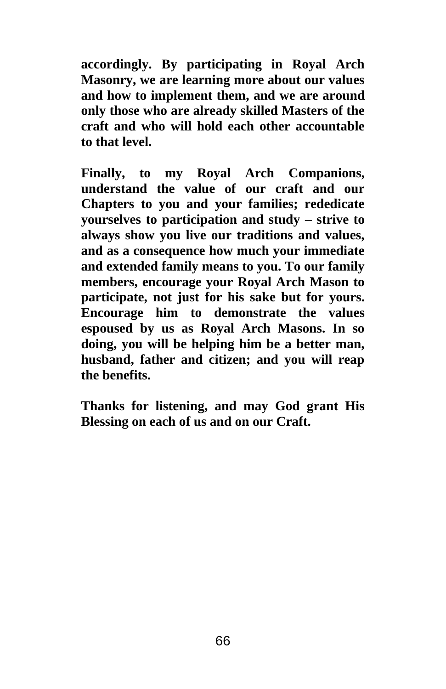**accordingly. By participating in Royal Arch Masonry, we are learning more about our values and how to implement them, and we are around only those who are already skilled Masters of the craft and who will hold each other accountable to that level.**

**Finally, to my Royal Arch Companions, understand the value of our craft and our Chapters to you and your families; rededicate yourselves to participation and study – strive to always show you live our traditions and values, and as a consequence how much your immediate and extended family means to you. To our family members, encourage your Royal Arch Mason to participate, not just for his sake but for yours. Encourage him to demonstrate the values espoused by us as Royal Arch Masons. In so doing, you will be helping him be a better man, husband, father and citizen; and you will reap the benefits.**

**Thanks for listening, and may God grant His Blessing on each of us and on our Craft.**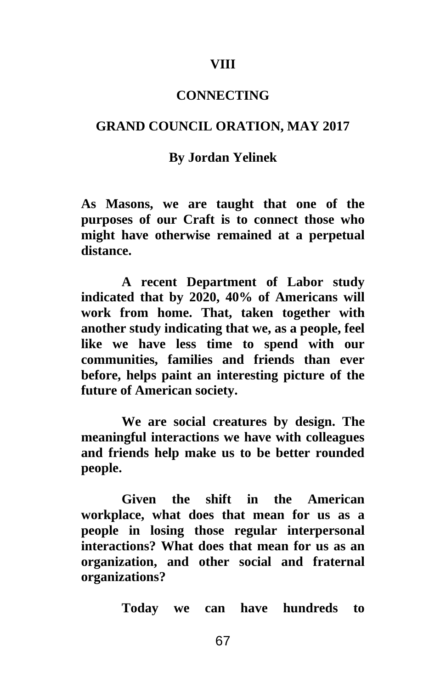#### **VIII**

### **CONNECTING**

#### **GRAND COUNCIL ORATION, MAY 2017**

#### **By Jordan Yelinek**

**As Masons, we are taught that one of the purposes of our Craft is to connect those who might have otherwise remained at a perpetual distance.** 

**A recent Department of Labor study indicated that by 2020, 40% of Americans will work from home. That, taken together with another study indicating that we, as a people, feel like we have less time to spend with our communities, families and friends than ever before, helps paint an interesting picture of the future of American society.** 

**We are social creatures by design. The meaningful interactions we have with colleagues and friends help make us to be better rounded people.** 

**Given the shift in the American workplace, what does that mean for us as a people in losing those regular interpersonal interactions? What does that mean for us as an organization, and other social and fraternal organizations?**

**Today we can have hundreds to**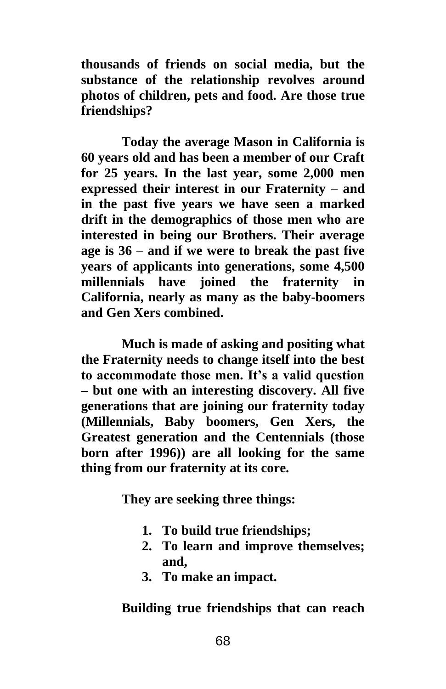**thousands of friends on social media, but the substance of the relationship revolves around photos of children, pets and food. Are those true friendships?** 

**Today the average Mason in California is 60 years old and has been a member of our Craft for 25 years. In the last year, some 2,000 men expressed their interest in our Fraternity – and in the past five years we have seen a marked drift in the demographics of those men who are interested in being our Brothers. Their average age is 36 – and if we were to break the past five years of applicants into generations, some 4,500 millennials have joined the fraternity in California, nearly as many as the baby-boomers and Gen Xers combined.** 

**Much is made of asking and positing what the Fraternity needs to change itself into the best to accommodate those men. It's a valid question – but one with an interesting discovery. All five generations that are joining our fraternity today (Millennials, Baby boomers, Gen Xers, the Greatest generation and the Centennials (those born after 1996)) are all looking for the same thing from our fraternity at its core.**

**They are seeking three things:**

- **1. To build true friendships;**
- **2. To learn and improve themselves; and,**
- **3. To make an impact.**

**Building true friendships that can reach**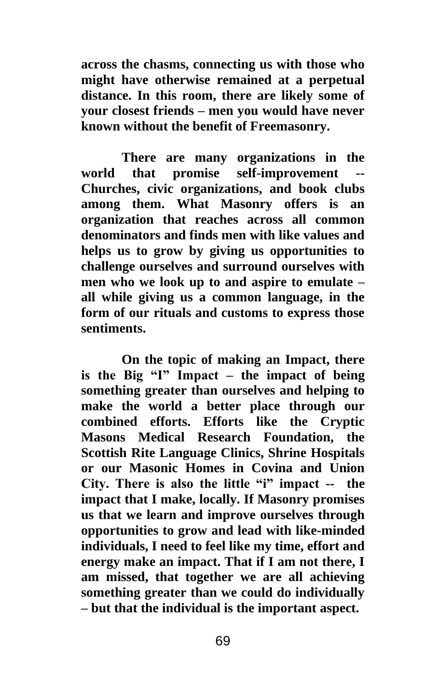**across the chasms, connecting us with those who might have otherwise remained at a perpetual distance. In this room, there are likely some of your closest friends – men you would have never known without the benefit of Freemasonry.** 

**There are many organizations in the world that promise self-improvement -- Churches, civic organizations, and book clubs among them. What Masonry offers is an organization that reaches across all common denominators and finds men with like values and helps us to grow by giving us opportunities to challenge ourselves and surround ourselves with men who we look up to and aspire to emulate – all while giving us a common language, in the form of our rituals and customs to express those sentiments.** 

**On the topic of making an Impact, there is the Big "I" Impact – the impact of being something greater than ourselves and helping to make the world a better place through our combined efforts. Efforts like the Cryptic Masons Medical Research Foundation, the Scottish Rite Language Clinics, Shrine Hospitals or our Masonic Homes in Covina and Union City. There is also the little "i" impact -- the impact that I make, locally. If Masonry promises us that we learn and improve ourselves through opportunities to grow and lead with like-minded individuals, I need to feel like my time, effort and energy make an impact. That if I am not there, I am missed, that together we are all achieving something greater than we could do individually – but that the individual is the important aspect.**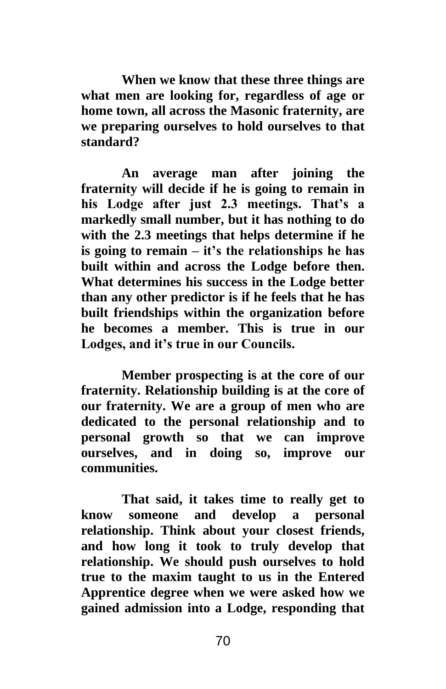**When we know that these three things are what men are looking for, regardless of age or home town, all across the Masonic fraternity, are we preparing ourselves to hold ourselves to that standard?**

**An average man after joining the fraternity will decide if he is going to remain in his Lodge after just 2.3 meetings. That's a markedly small number, but it has nothing to do with the 2.3 meetings that helps determine if he is going to remain – it's the relationships he has built within and across the Lodge before then. What determines his success in the Lodge better than any other predictor is if he feels that he has built friendships within the organization before he becomes a member. This is true in our Lodges, and it's true in our Councils.** 

**Member prospecting is at the core of our fraternity. Relationship building is at the core of our fraternity. We are a group of men who are dedicated to the personal relationship and to personal growth so that we can improve ourselves, and in doing so, improve our communities.** 

**That said, it takes time to really get to know someone and develop a personal relationship. Think about your closest friends, and how long it took to truly develop that relationship. We should push ourselves to hold true to the maxim taught to us in the Entered Apprentice degree when we were asked how we gained admission into a Lodge, responding that**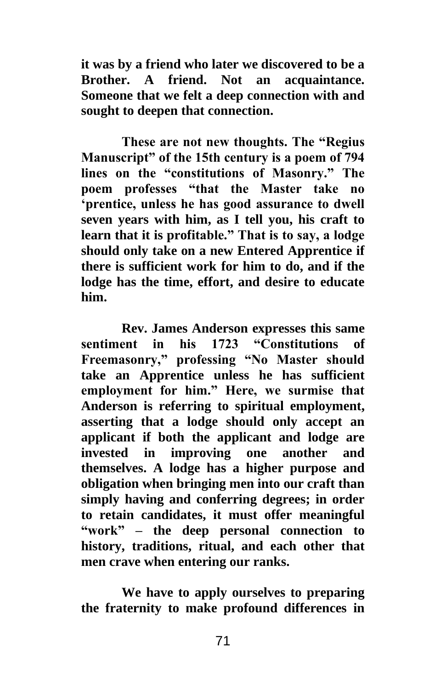**it was by a friend who later we discovered to be a Brother. A friend. Not an acquaintance. Someone that we felt a deep connection with and sought to deepen that connection.** 

**These are not new thoughts. The "Regius Manuscript" of the 15th century is a poem of 794 lines on the "constitutions of Masonry." The poem professes "that the Master take no 'prentice, unless he has good assurance to dwell seven years with him, as I tell you, his craft to learn that it is profitable." That is to say, a lodge should only take on a new Entered Apprentice if there is sufficient work for him to do, and if the lodge has the time, effort, and desire to educate him.**

**Rev. James Anderson expresses this same sentiment in his 1723 "Constitutions of Freemasonry," professing "No Master should take an Apprentice unless he has sufficient employment for him." Here, we surmise that Anderson is referring to spiritual employment, asserting that a lodge should only accept an applicant if both the applicant and lodge are invested in improving one another and themselves. A lodge has a higher purpose and obligation when bringing men into our craft than simply having and conferring degrees; in order to retain candidates, it must offer meaningful "work" – the deep personal connection to history, traditions, ritual, and each other that men crave when entering our ranks.** 

**We have to apply ourselves to preparing the fraternity to make profound differences in**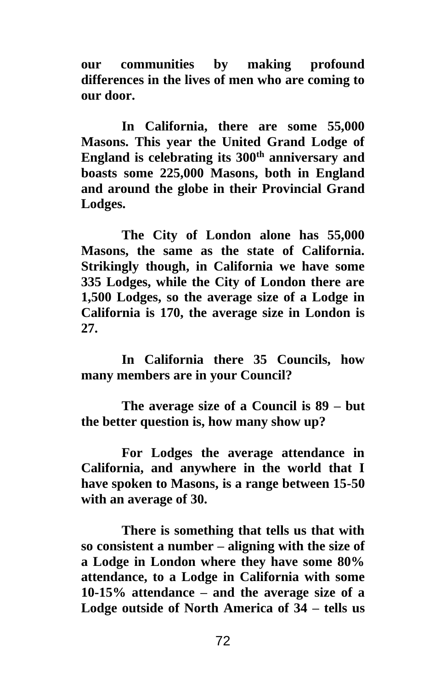**our communities by making profound differences in the lives of men who are coming to our door.**

**In California, there are some 55,000 Masons. This year the United Grand Lodge of England is celebrating its 300th anniversary and boasts some 225,000 Masons, both in England and around the globe in their Provincial Grand Lodges.** 

**The City of London alone has 55,000 Masons, the same as the state of California. Strikingly though, in California we have some 335 Lodges, while the City of London there are 1,500 Lodges, so the average size of a Lodge in California is 170, the average size in London is 27.**

**In California there 35 Councils, how many members are in your Council?**

**The average size of a Council is 89 – but the better question is, how many show up?**

**For Lodges the average attendance in California, and anywhere in the world that I have spoken to Masons, is a range between 15-50 with an average of 30.** 

**There is something that tells us that with so consistent a number – aligning with the size of a Lodge in London where they have some 80% attendance, to a Lodge in California with some 10-15% attendance – and the average size of a Lodge outside of North America of 34 – tells us**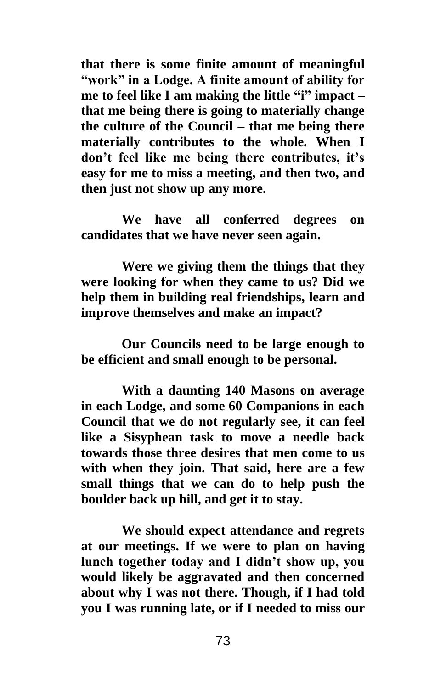**that there is some finite amount of meaningful "work" in a Lodge. A finite amount of ability for me to feel like I am making the little "i" impact – that me being there is going to materially change the culture of the Council – that me being there materially contributes to the whole. When I don't feel like me being there contributes, it's easy for me to miss a meeting, and then two, and then just not show up any more.** 

**We have all conferred degrees on candidates that we have never seen again.** 

**Were we giving them the things that they were looking for when they came to us? Did we help them in building real friendships, learn and improve themselves and make an impact?**

**Our Councils need to be large enough to be efficient and small enough to be personal.** 

**With a daunting 140 Masons on average in each Lodge, and some 60 Companions in each Council that we do not regularly see, it can feel like a Sisyphean task to move a needle back towards those three desires that men come to us with when they join. That said, here are a few small things that we can do to help push the boulder back up hill, and get it to stay.** 

**We should expect attendance and regrets at our meetings. If we were to plan on having lunch together today and I didn't show up, you would likely be aggravated and then concerned about why I was not there. Though, if I had told you I was running late, or if I needed to miss our**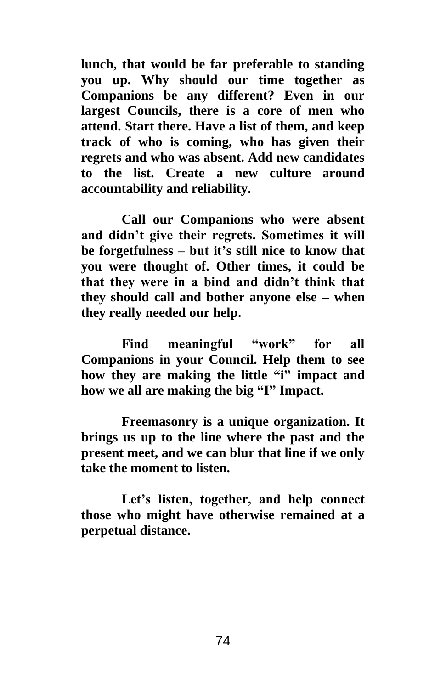**lunch, that would be far preferable to standing you up. Why should our time together as Companions be any different? Even in our largest Councils, there is a core of men who attend. Start there. Have a list of them, and keep track of who is coming, who has given their regrets and who was absent. Add new candidates to the list. Create a new culture around accountability and reliability.**

**Call our Companions who were absent and didn't give their regrets. Sometimes it will be forgetfulness – but it's still nice to know that you were thought of. Other times, it could be that they were in a bind and didn't think that they should call and bother anyone else – when they really needed our help.** 

**Find meaningful "work" for all Companions in your Council. Help them to see how they are making the little "i" impact and how we all are making the big "I" Impact.** 

**Freemasonry is a unique organization. It brings us up to the line where the past and the present meet, and we can blur that line if we only take the moment to listen.** 

**Let's listen, together, and help connect those who might have otherwise remained at a perpetual distance.**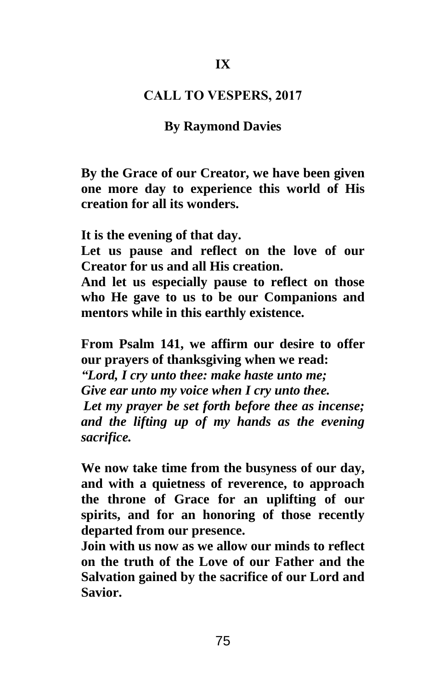## **CALL TO VESPERS, 2017**

## **By Raymond Davies**

**By the Grace of our Creator, we have been given one more day to experience this world of His creation for all its wonders.** 

**It is the evening of that day.** 

**Let us pause and reflect on the love of our Creator for us and all His creation.** 

**And let us especially pause to reflect on those who He gave to us to be our Companions and mentors while in this earthly existence.**

**From Psalm 141, we affirm our desire to offer our prayers of thanksgiving when we read:**  *"Lord, I cry unto thee: make haste unto me; Give ear unto my voice when I cry unto thee. Let my prayer be set forth before thee as incense; and the lifting up of my hands as the evening sacrifice.*

**We now take time from the busyness of our day, and with a quietness of reverence, to approach the throne of Grace for an uplifting of our spirits, and for an honoring of those recently departed from our presence.** 

**Join with us now as we allow our minds to reflect on the truth of the Love of our Father and the Salvation gained by the sacrifice of our Lord and Savior.**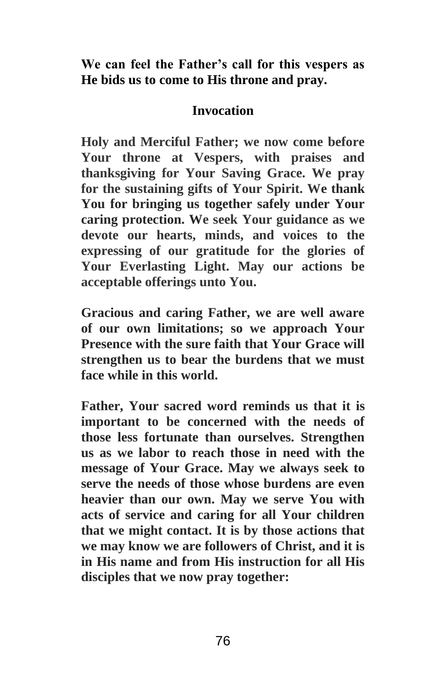**We can feel the Father's call for this vespers as He bids us to come to His throne and pray.**

# **Invocation**

**Holy and Merciful Father; we now come before Your throne at Vespers, with praises and thanksgiving for Your Saving Grace. We pray for the sustaining gifts of Your Spirit. We thank You for bringing us together safely under Your caring protection. We seek Your guidance as we devote our hearts, minds, and voices to the expressing of our gratitude for the glories of Your Everlasting Light. May our actions be acceptable offerings unto You.** 

**Gracious and caring Father, we are well aware of our own limitations; so we approach Your Presence with the sure faith that Your Grace will strengthen us to bear the burdens that we must face while in this world.** 

**Father, Your sacred word reminds us that it is important to be concerned with the needs of those less fortunate than ourselves. Strengthen us as we labor to reach those in need with the message of Your Grace. May we always seek to serve the needs of those whose burdens are even heavier than our own. May we serve You with acts of service and caring for all Your children that we might contact. It is by those actions that we may know we are followers of Christ, and it is in His name and from His instruction for all His disciples that we now pray together:**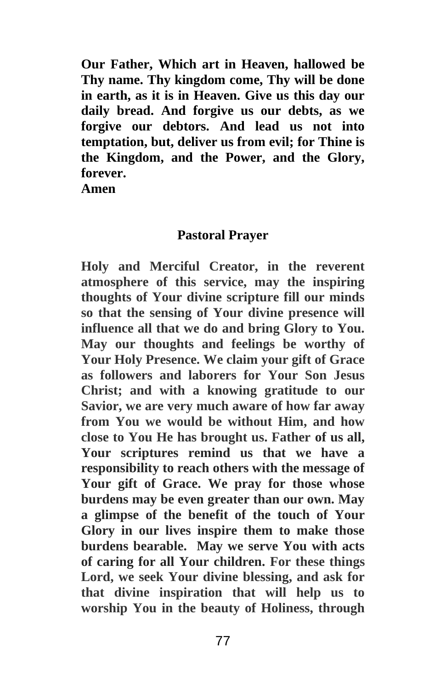**Our Father, Which art in Heaven, hallowed be Thy name. Thy kingdom come, Thy will be done in earth, as it is in Heaven. Give us this day our daily bread. And forgive us our debts, as we forgive our debtors. And lead us not into temptation, but, deliver us from evil; for Thine is the Kingdom, and the Power, and the Glory, forever.** 

**Amen** 

## **Pastoral Prayer**

**Holy and Merciful Creator, in the reverent atmosphere of this service, may the inspiring thoughts of Your divine scripture fill our minds so that the sensing of Your divine presence will influence all that we do and bring Glory to You. May our thoughts and feelings be worthy of Your Holy Presence. We claim your gift of Grace as followers and laborers for Your Son Jesus Christ; and with a knowing gratitude to our Savior, we are very much aware of how far away from You we would be without Him, and how close to You He has brought us. Father of us all, Your scriptures remind us that we have a responsibility to reach others with the message of Your gift of Grace. We pray for those whose burdens may be even greater than our own. May a glimpse of the benefit of the touch of Your Glory in our lives inspire them to make those burdens bearable. May we serve You with acts of caring for all Your children. For these things Lord, we seek Your divine blessing, and ask for that divine inspiration that will help us to worship You in the beauty of Holiness, through**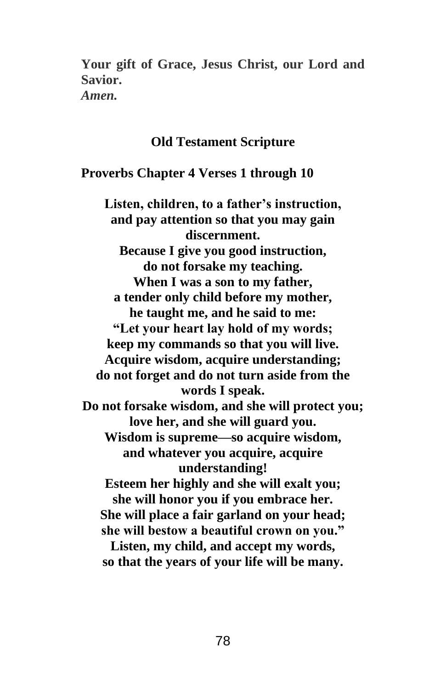**Your gift of Grace, Jesus Christ, our Lord and Savior.**  *Amen.*

## **Old Testament Scripture**

**Proverbs Chapter 4 Verses 1 through 10**

**Listen, children, to a father's instruction, and pay attention so that you may gain discernment. Because I give you good instruction, do not forsake my teaching. When I was a son to my father, a tender only child before my mother, he taught me, and he said to me: "Let your heart lay hold of my words; keep my commands so that you will live. Acquire wisdom, acquire understanding; do not forget and do not turn aside from the words I speak. Do not forsake wisdom, and she will protect you; love her, and she will guard you. Wisdom is supreme—so acquire wisdom, and whatever you acquire, acquire understanding! Esteem her highly and she will exalt you; she will honor you if you embrace her. She will place a fair garland on your head; she will bestow a beautiful crown on you." Listen, my child, and accept my words, so that the years of your life will be many.**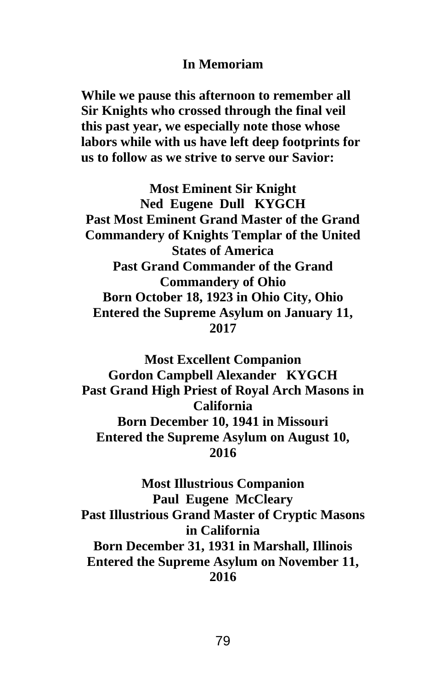## **In Memoriam**

**While we pause this afternoon to remember all Sir Knights who crossed through the final veil this past year, we especially note those whose labors while with us have left deep footprints for us to follow as we strive to serve our Savior:**

**Most Eminent Sir Knight Ned Eugene Dull KYGCH Past Most Eminent Grand Master of the Grand Commandery of Knights Templar of the United States of America Past Grand Commander of the Grand Commandery of Ohio Born October 18, 1923 in Ohio City, Ohio Entered the Supreme Asylum on January 11, 2017**

**Most Excellent Companion Gordon Campbell Alexander KYGCH Past Grand High Priest of Royal Arch Masons in California Born December 10, 1941 in Missouri Entered the Supreme Asylum on August 10, 2016**

**Most Illustrious Companion Paul Eugene McCleary Past Illustrious Grand Master of Cryptic Masons in California Born December 31, 1931 in Marshall, Illinois Entered the Supreme Asylum on November 11, 2016**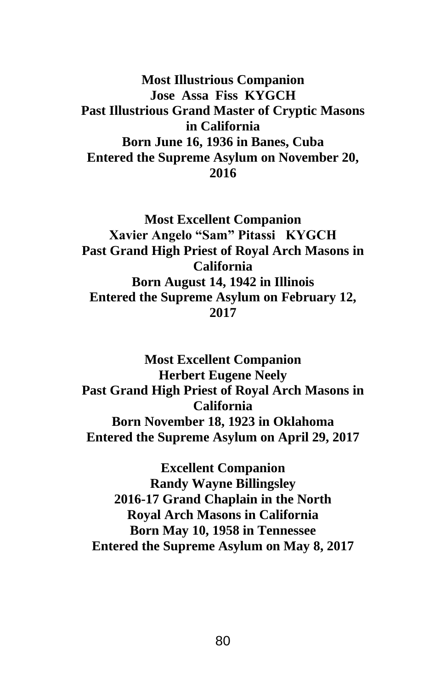**Most Illustrious Companion Jose Assa Fiss KYGCH Past Illustrious Grand Master of Cryptic Masons in California Born June 16, 1936 in Banes, Cuba Entered the Supreme Asylum on November 20, 2016**

**Most Excellent Companion Xavier Angelo "Sam" Pitassi KYGCH Past Grand High Priest of Royal Arch Masons in California Born August 14, 1942 in Illinois Entered the Supreme Asylum on February 12, 2017**

**Most Excellent Companion Herbert Eugene Neely Past Grand High Priest of Royal Arch Masons in California Born November 18, 1923 in Oklahoma Entered the Supreme Asylum on April 29, 2017**

**Excellent Companion Randy Wayne Billingsley 2016-17 Grand Chaplain in the North Royal Arch Masons in California Born May 10, 1958 in Tennessee Entered the Supreme Asylum on May 8, 2017**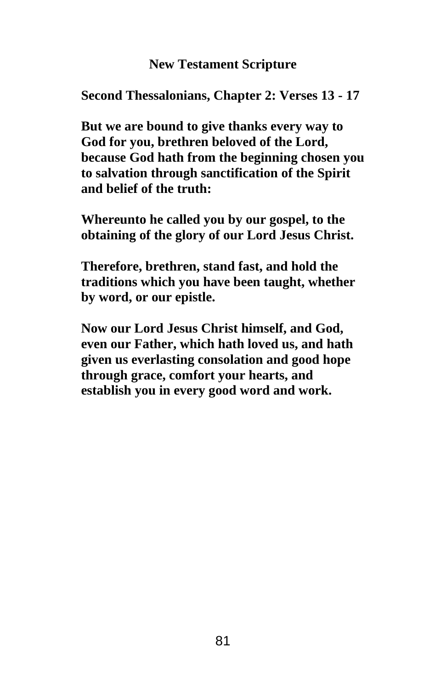# **New Testament Scripture**

**Second Thessalonians, Chapter 2: Verses 13 - 17**

**But we are bound to give thanks every way to God for you, brethren beloved of the Lord, because God hath from the beginning chosen you to salvation through sanctification of the Spirit and belief of the truth:**

**Whereunto he called you by our gospel, to the obtaining of the glory of our Lord Jesus Christ.**

**Therefore, brethren, stand fast, and hold the traditions which you have been taught, whether by word, or our epistle.**

**Now our Lord Jesus Christ himself, and God, even our Father, which hath loved us, and hath given us everlasting consolation and good hope through grace, comfort your hearts, and establish you in every good word and work.**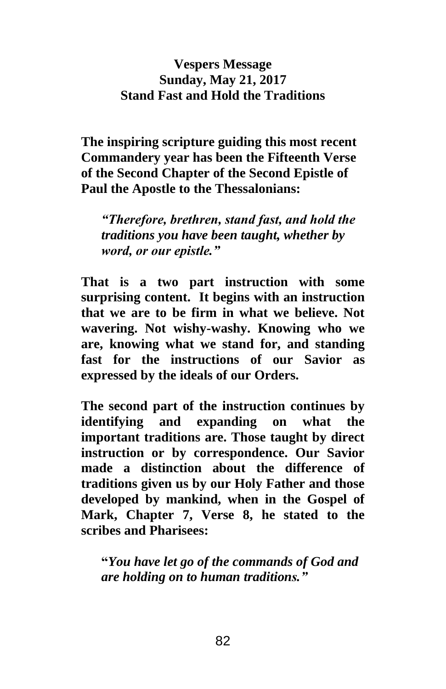# **Vespers Message Sunday, May 21, 2017 Stand Fast and Hold the Traditions**

**The inspiring scripture guiding this most recent Commandery year has been the Fifteenth Verse of the Second Chapter of the Second Epistle of Paul the Apostle to the Thessalonians:** 

*"Therefore, brethren, stand fast, and hold the traditions you have been taught, whether by word, or our epistle."*

**That is a two part instruction with some surprising content. It begins with an instruction that we are to be firm in what we believe. Not wavering. Not wishy-washy. Knowing who we are, knowing what we stand for, and standing fast for the instructions of our Savior as expressed by the ideals of our Orders.** 

**The second part of the instruction continues by identifying and expanding on what the important traditions are. Those taught by direct instruction or by correspondence. Our Savior made a distinction about the difference of traditions given us by our Holy Father and those developed by mankind, when in the Gospel of Mark, Chapter 7, Verse 8, he stated to the scribes and Pharisees:** 

**"***You have let go of the commands of God and are holding on to human traditions."*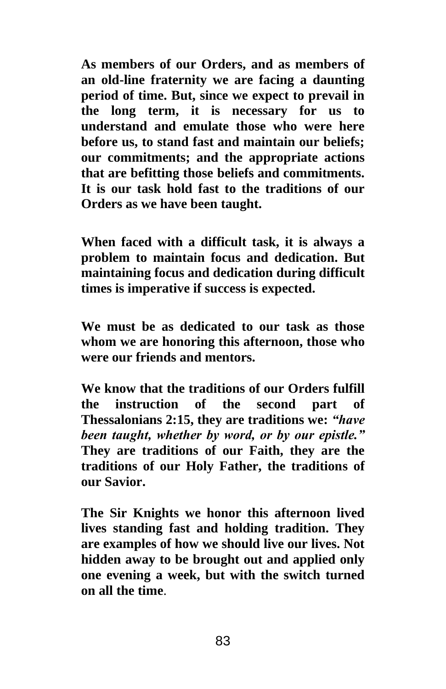**As members of our Orders, and as members of an old-line fraternity we are facing a daunting period of time. But, since we expect to prevail in the long term, it is necessary for us to understand and emulate those who were here before us, to stand fast and maintain our beliefs; our commitments; and the appropriate actions that are befitting those beliefs and commitments. It is our task hold fast to the traditions of our Orders as we have been taught.** 

**When faced with a difficult task, it is always a problem to maintain focus and dedication. But maintaining focus and dedication during difficult times is imperative if success is expected.** 

**We must be as dedicated to our task as those whom we are honoring this afternoon, those who were our friends and mentors.**

**We know that the traditions of our Orders fulfill the instruction of the second part of Thessalonians 2:15, they are traditions we:** *"have been taught, whether by word, or by our epistle."* **They are traditions of our Faith, they are the traditions of our Holy Father, the traditions of our Savior.** 

**The Sir Knights we honor this afternoon lived lives standing fast and holding tradition. They are examples of how we should live our lives. Not hidden away to be brought out and applied only one evening a week, but with the switch turned on all the time**.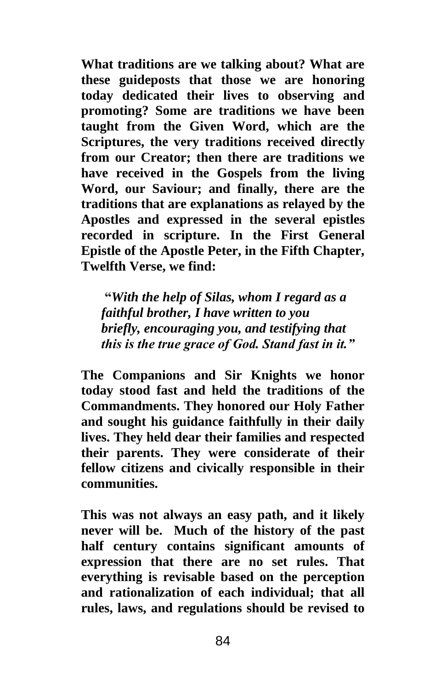**What traditions are we talking about? What are these guideposts that those we are honoring today dedicated their lives to observing and promoting? Some are traditions we have been taught from the Given Word, which are the Scriptures, the very traditions received directly from our Creator; then there are traditions we have received in the Gospels from the living Word, our Saviour; and finally, there are the traditions that are explanations as relayed by the Apostles and expressed in the several epistles recorded in scripture. In the First General Epistle of the Apostle Peter, in the Fifth Chapter, Twelfth Verse, we find:** 

**"***With the help of Silas, whom I regard as a faithful brother, I have written to you briefly, encouraging you, and testifying that this is the true grace of God. Stand fast in it."*

**The Companions and Sir Knights we honor today stood fast and held the traditions of the Commandments. They honored our Holy Father and sought his guidance faithfully in their daily lives. They held dear their families and respected their parents. They were considerate of their fellow citizens and civically responsible in their communities.** 

**This was not always an easy path, and it likely never will be. Much of the history of the past half century contains significant amounts of expression that there are no set rules. That everything is revisable based on the perception and rationalization of each individual; that all rules, laws, and regulations should be revised to**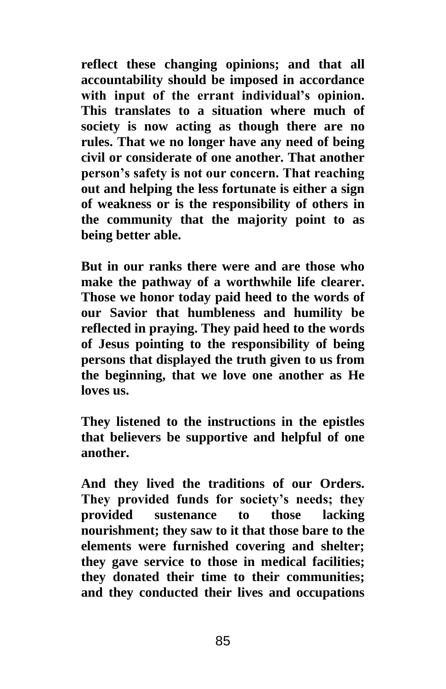**reflect these changing opinions; and that all accountability should be imposed in accordance with input of the errant individual's opinion. This translates to a situation where much of society is now acting as though there are no rules. That we no longer have any need of being civil or considerate of one another. That another person's safety is not our concern. That reaching out and helping the less fortunate is either a sign of weakness or is the responsibility of others in the community that the majority point to as being better able.** 

**But in our ranks there were and are those who make the pathway of a worthwhile life clearer. Those we honor today paid heed to the words of our Savior that humbleness and humility be reflected in praying. They paid heed to the words of Jesus pointing to the responsibility of being persons that displayed the truth given to us from the beginning, that we love one another as He loves us.**

**They listened to the instructions in the epistles that believers be supportive and helpful of one another.**

**And they lived the traditions of our Orders. They provided funds for society's needs; they provided sustenance to those lacking nourishment; they saw to it that those bare to the elements were furnished covering and shelter; they gave service to those in medical facilities; they donated their time to their communities; and they conducted their lives and occupations**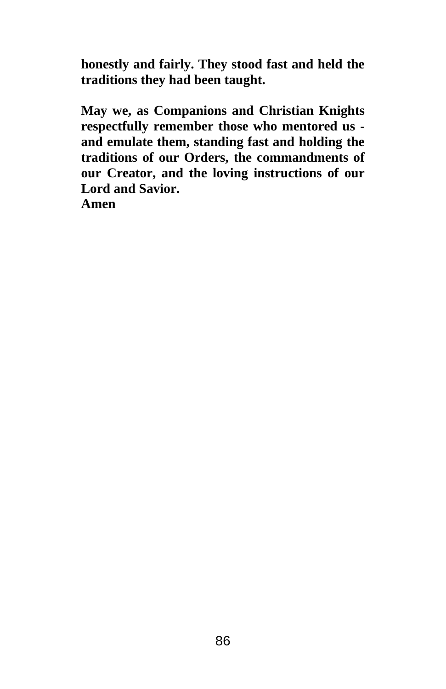**honestly and fairly. They stood fast and held the traditions they had been taught.**

**May we, as Companions and Christian Knights respectfully remember those who mentored us and emulate them, standing fast and holding the traditions of our Orders, the commandments of our Creator, and the loving instructions of our Lord and Savior.** 

**Amen**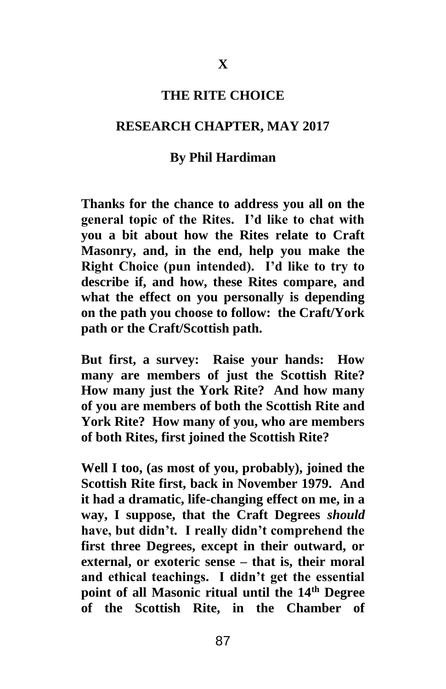#### **THE RITE CHOICE**

### **RESEARCH CHAPTER, MAY 2017**

## **By Phil Hardiman**

**Thanks for the chance to address you all on the general topic of the Rites. I'd like to chat with you a bit about how the Rites relate to Craft Masonry, and, in the end, help you make the Right Choice (pun intended). I'd like to try to describe if, and how, these Rites compare, and what the effect on you personally is depending on the path you choose to follow: the Craft/York path or the Craft/Scottish path.**

**But first, a survey: Raise your hands: How many are members of just the Scottish Rite? How many just the York Rite? And how many of you are members of both the Scottish Rite and York Rite? How many of you, who are members of both Rites, first joined the Scottish Rite?**

**Well I too, (as most of you, probably), joined the Scottish Rite first, back in November 1979. And it had a dramatic, life-changing effect on me, in a way, I suppose, that the Craft Degrees** *should* **have, but didn't. I really didn't comprehend the first three Degrees, except in their outward, or external, or exoteric sense – that is, their moral and ethical teachings. I didn't get the essential point of all Masonic ritual until the 14th Degree of the Scottish Rite, in the Chamber of**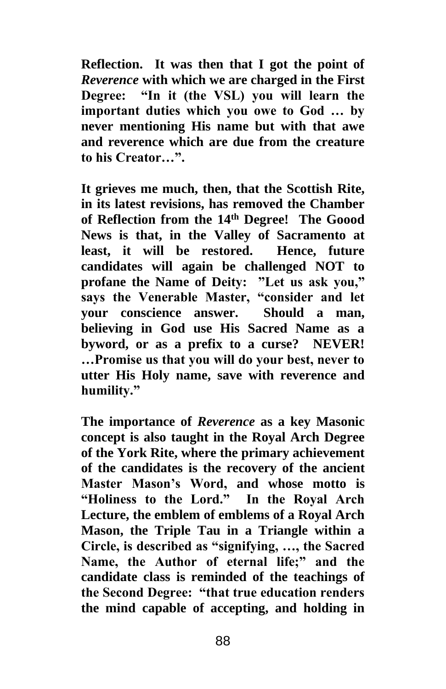**Reflection. It was then that I got the point of**  *Reverence* **with which we are charged in the First Degree: "In it (the VSL) you will learn the important duties which you owe to God … by never mentioning His name but with that awe and reverence which are due from the creature to his Creator…".**

**It grieves me much, then, that the Scottish Rite, in its latest revisions, has removed the Chamber of Reflection from the 14th Degree! The Goood News is that, in the Valley of Sacramento at least, it will be restored. Hence, future candidates will again be challenged NOT to profane the Name of Deity: "Let us ask you," says the Venerable Master, "consider and let your conscience answer. Should a man, believing in God use His Sacred Name as a byword, or as a prefix to a curse? NEVER! …Promise us that you will do your best, never to utter His Holy name, save with reverence and humility."**

**The importance of** *Reverence* **as a key Masonic concept is also taught in the Royal Arch Degree of the York Rite, where the primary achievement of the candidates is the recovery of the ancient Master Mason's Word, and whose motto is "Holiness to the Lord." In the Royal Arch Lecture, the emblem of emblems of a Royal Arch Mason, the Triple Tau in a Triangle within a Circle, is described as "signifying, …, the Sacred Name, the Author of eternal life;" and the candidate class is reminded of the teachings of the Second Degree: "that true education renders the mind capable of accepting, and holding in**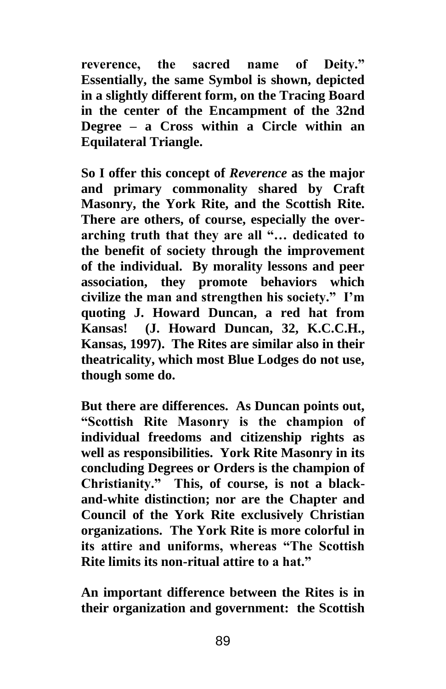**reverence, the sacred name of Deity." Essentially, the same Symbol is shown, depicted in a slightly different form, on the Tracing Board in the center of the Encampment of the 32nd Degree – a Cross within a Circle within an Equilateral Triangle.**

**So I offer this concept of** *Reverence* **as the major and primary commonality shared by Craft Masonry, the York Rite, and the Scottish Rite. There are others, of course, especially the overarching truth that they are all "… dedicated to the benefit of society through the improvement of the individual. By morality lessons and peer association, they promote behaviors which civilize the man and strengthen his society." I'm quoting J. Howard Duncan, a red hat from Kansas! (J. Howard Duncan, 32, K.C.C.H., Kansas, 1997). The Rites are similar also in their theatricality, which most Blue Lodges do not use, though some do.**

**But there are differences. As Duncan points out, "Scottish Rite Masonry is the champion of individual freedoms and citizenship rights as well as responsibilities. York Rite Masonry in its concluding Degrees or Orders is the champion of Christianity." This, of course, is not a blackand-white distinction; nor are the Chapter and Council of the York Rite exclusively Christian organizations. The York Rite is more colorful in its attire and uniforms, whereas "The Scottish Rite limits its non-ritual attire to a hat."**

**An important difference between the Rites is in their organization and government: the Scottish**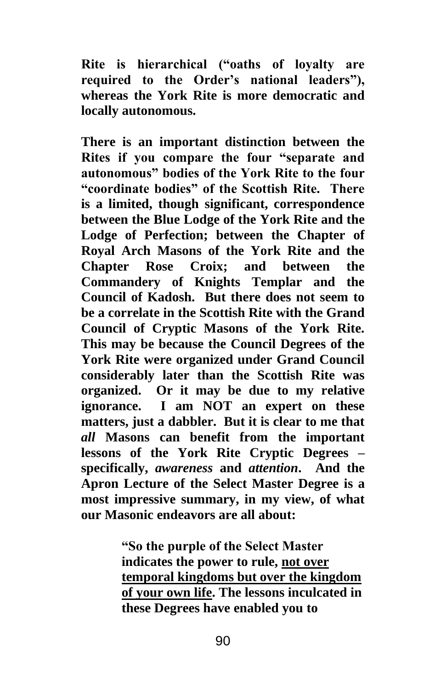**Rite is hierarchical ("oaths of loyalty are required to the Order's national leaders"), whereas the York Rite is more democratic and locally autonomous.**

**There is an important distinction between the Rites if you compare the four "separate and autonomous" bodies of the York Rite to the four "coordinate bodies" of the Scottish Rite. There is a limited, though significant, correspondence between the Blue Lodge of the York Rite and the Lodge of Perfection; between the Chapter of Royal Arch Masons of the York Rite and the Chapter Rose Croix; and between the Commandery of Knights Templar and the Council of Kadosh. But there does not seem to be a correlate in the Scottish Rite with the Grand Council of Cryptic Masons of the York Rite. This may be because the Council Degrees of the York Rite were organized under Grand Council considerably later than the Scottish Rite was organized. Or it may be due to my relative ignorance. I am NOT an expert on these matters, just a dabbler. But it is clear to me that**  *all* **Masons can benefit from the important lessons of the York Rite Cryptic Degrees – specifically,** *awareness* **and** *attention***. And the Apron Lecture of the Select Master Degree is a most impressive summary, in my view, of what our Masonic endeavors are all about:**

> **"So the purple of the Select Master indicates the power to rule, not over temporal kingdoms but over the kingdom of your own life. The lessons inculcated in these Degrees have enabled you to**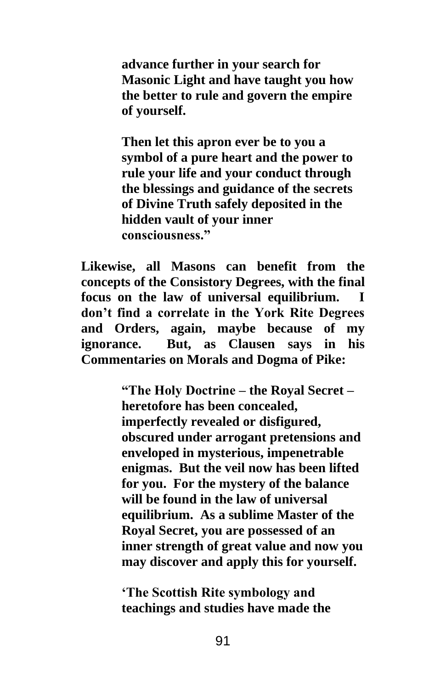**advance further in your search for Masonic Light and have taught you how the better to rule and govern the empire of yourself.** 

**Then let this apron ever be to you a symbol of a pure heart and the power to rule your life and your conduct through the blessings and guidance of the secrets of Divine Truth safely deposited in the hidden vault of your inner consciousness."**

**Likewise, all Masons can benefit from the concepts of the Consistory Degrees, with the final focus on the law of universal equilibrium. I don't find a correlate in the York Rite Degrees and Orders, again, maybe because of my ignorance. But, as Clausen says in his Commentaries on Morals and Dogma of Pike:**

> **"The Holy Doctrine – the Royal Secret – heretofore has been concealed, imperfectly revealed or disfigured, obscured under arrogant pretensions and enveloped in mysterious, impenetrable enigmas. But the veil now has been lifted for you. For the mystery of the balance will be found in the law of universal equilibrium. As a sublime Master of the Royal Secret, you are possessed of an inner strength of great value and now you may discover and apply this for yourself.**

**'The Scottish Rite symbology and teachings and studies have made the**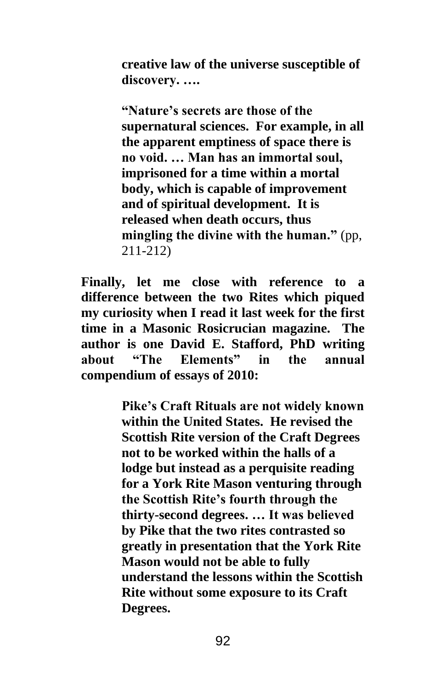**creative law of the universe susceptible of discovery. ….**

**"Nature's secrets are those of the supernatural sciences. For example, in all the apparent emptiness of space there is no void. … Man has an immortal soul, imprisoned for a time within a mortal body, which is capable of improvement and of spiritual development. It is released when death occurs, thus mingling the divine with the human."** (pp, 211-212)

**Finally, let me close with reference to a difference between the two Rites which piqued my curiosity when I read it last week for the first time in a Masonic Rosicrucian magazine. The author is one David E. Stafford, PhD writing about "The Elements" in the annual compendium of essays of 2010:**

> **Pike's Craft Rituals are not widely known within the United States. He revised the Scottish Rite version of the Craft Degrees not to be worked within the halls of a lodge but instead as a perquisite reading for a York Rite Mason venturing through the Scottish Rite's fourth through the thirty-second degrees. … It was believed by Pike that the two rites contrasted so greatly in presentation that the York Rite Mason would not be able to fully understand the lessons within the Scottish Rite without some exposure to its Craft Degrees.**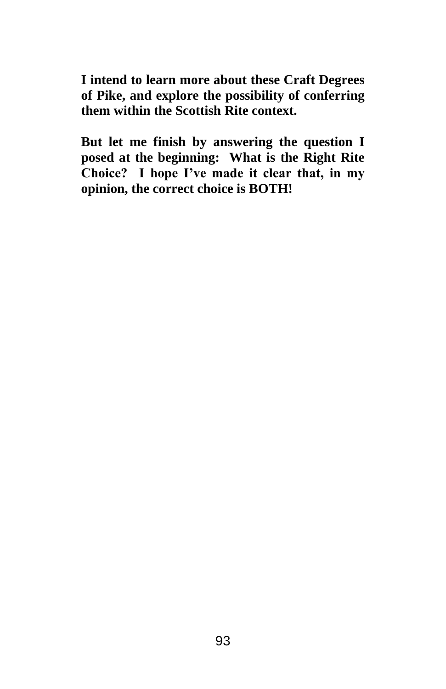**I intend to learn more about these Craft Degrees of Pike, and explore the possibility of conferring them within the Scottish Rite context.**

**But let me finish by answering the question I posed at the beginning: What is the Right Rite Choice? I hope I've made it clear that, in my opinion, the correct choice is BOTH!**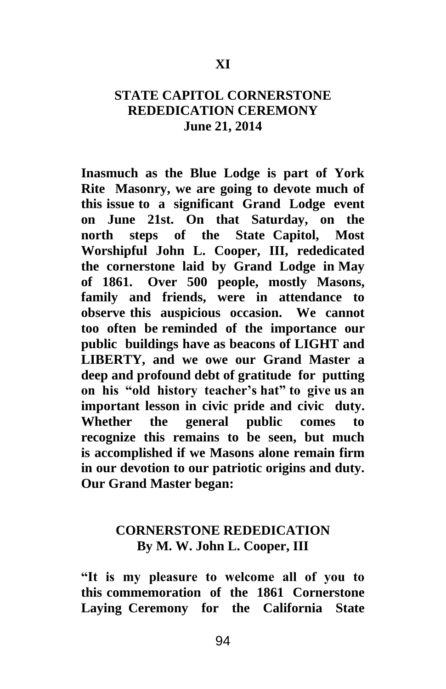# **STATE CAPITOL CORNERSTONE REDEDICATION CEREMONY June 21, 2014**

**Inasmuch as the Blue Lodge is part of York Rite Masonry, we are going to devote much of this issue to a significant Grand Lodge event on June 21st. On that Saturday, on the north steps of the State Capitol, Most Worshipful John L. Cooper, III, rededicated the cornerstone laid by Grand Lodge in May of 1861. Over 500 people, mostly Masons, family and friends, were in attendance to observe this auspicious occasion. We cannot too often be reminded of the importance our public buildings have as beacons of LIGHT and LIBERTY, and we owe our Grand Master a deep and profound debt of gratitude for putting on his "old history teacher's hat" to give us an important lesson in civic pride and civic duty. Whether the general public comes to recognize this remains to be seen, but much is accomplished if we Masons alone remain firm in our devotion to our patriotic origins and duty. Our Grand Master began:** 

# **CORNERSTONE REDEDICATION By M. W. John L. Cooper, III**

**"It is my pleasure to welcome all of you to this commemoration of the 1861 Cornerstone Laying Ceremony for the California State**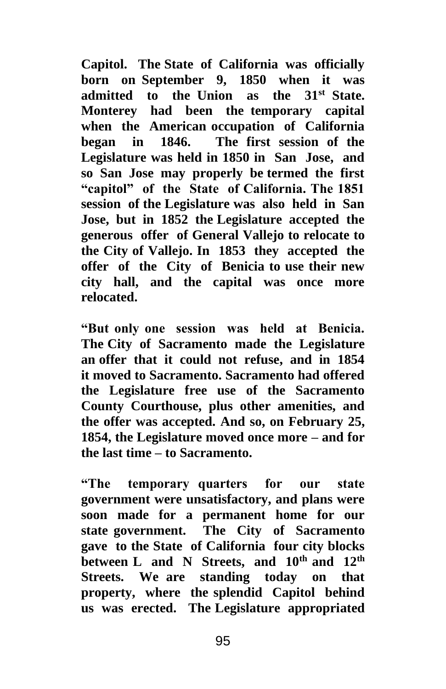**Capitol. The State of California was officially born on September 9, 1850 when it was admitted to the Union as the 31st State. Monterey had been the temporary capital when the American occupation of California began in 1846. The first session of the Legislature was held in 1850 in San Jose, and so San Jose may properly be termed the first "capitol" of the State of California. The 1851 session of the Legislature was also held in San Jose, but in 1852 the Legislature accepted the generous offer of General Vallejo to relocate to the City of Vallejo. In 1853 they accepted the offer of the City of Benicia to use their new city hall, and the capital was once more relocated.** 

**"But only one session was held at Benicia. The City of Sacramento made the Legislature an offer that it could not refuse, and in 1854 it moved to Sacramento. Sacramento had offered the Legislature free use of the Sacramento County Courthouse, plus other amenities, and the offer was accepted. And so, on February 25, 1854, the Legislature moved once more – and for the last time – to Sacramento.** 

**"The temporary quarters for our state government were unsatisfactory, and plans were soon made for a permanent home for our state government. The City of Sacramento gave to the State of California four city blocks between L and N Streets, and 10th and 12th Streets. We are standing today on that property, where the splendid Capitol behind us was erected. The Legislature appropriated**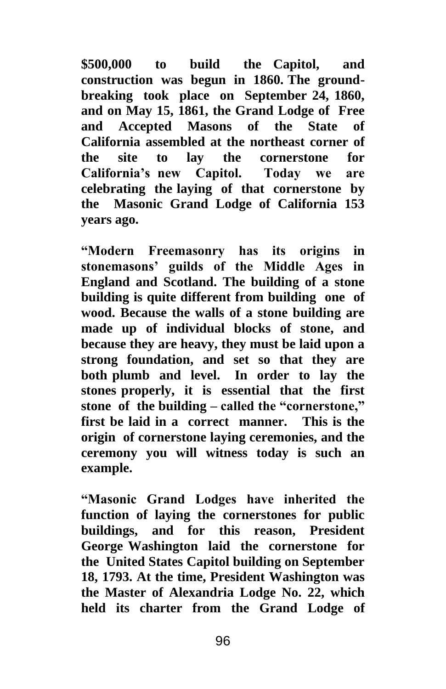**\$500,000 to build the Capitol, and construction was begun in 1860. The groundbreaking took place on September 24, 1860, and on May 15, 1861, the Grand Lodge of Free and Accepted Masons of the State of California assembled at the northeast corner of the site to lay the cornerstone for California's new Capitol. Today we are celebrating the laying of that cornerstone by the Masonic Grand Lodge of California 153 years ago.** 

**"Modern Freemasonry has its origins in stonemasons' guilds of the Middle Ages in England and Scotland. The building of a stone building is quite different from building one of wood. Because the walls of a stone building are made up of individual blocks of stone, and because they are heavy, they must be laid upon a strong foundation, and set so that they are both plumb and level. In order to lay the stones properly, it is essential that the first stone of the building – called the "cornerstone," first be laid in a correct manner. This is the origin of cornerstone laying ceremonies, and the ceremony you will witness today is such an example.** 

**"Masonic Grand Lodges have inherited the function of laying the cornerstones for public buildings, and for this reason, President George Washington laid the cornerstone for the United States Capitol building on September 18, 1793. At the time, President Washington was the Master of Alexandria Lodge No. 22, which held its charter from the Grand Lodge of**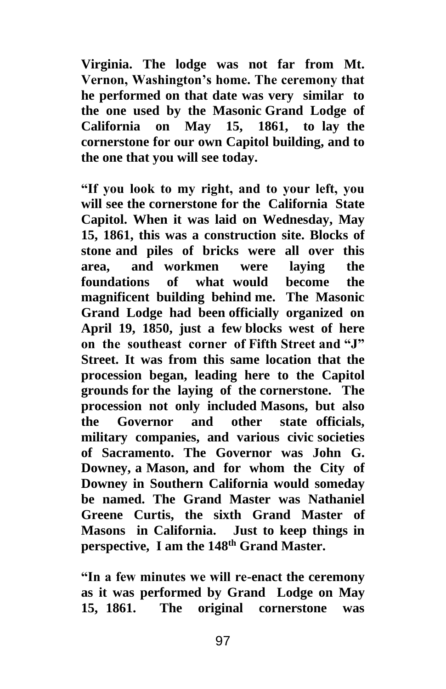**Virginia. The lodge was not far from Mt. Vernon, Washington's home. The ceremony that he performed on that date was very similar to the one used by the Masonic Grand Lodge of California on May 15, 1861, to lay the cornerstone for our own Capitol building, and to the one that you will see today.** 

**"If you look to my right, and to your left, you will see the cornerstone for the California State Capitol. When it was laid on Wednesday, May 15, 1861, this was a construction site. Blocks of stone and piles of bricks were all over this area, and workmen were laying the foundations of what would become the magnificent building behind me. The Masonic Grand Lodge had been officially organized on April 19, 1850, just a few blocks west of here on the southeast corner of Fifth Street and "J" Street. It was from this same location that the procession began, leading here to the Capitol grounds for the laying of the cornerstone. The procession not only included Masons, but also the Governor and other state officials, military companies, and various civic societies of Sacramento. The Governor was John G. Downey, a Mason, and for whom the City of Downey in Southern California would someday be named. The Grand Master was Nathaniel Greene Curtis, the sixth Grand Master of Masons in California. Just to keep things in perspective, I am the 148th Grand Master.** 

**"In a few minutes we will re-enact the ceremony as it was performed by Grand Lodge on May 15, 1861. The original cornerstone was**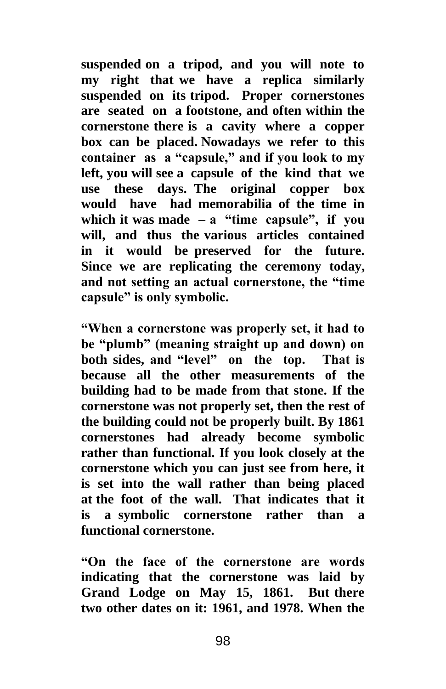**suspended on a tripod, and you will note to my right that we have a replica similarly suspended on its tripod. Proper cornerstones are seated on a footstone, and often within the cornerstone there is a cavity where a copper box can be placed. Nowadays we refer to this container as a "capsule," and if you look to my left, you will see a capsule of the kind that we use these days. The original copper box would have had memorabilia of the time in which it was made – a "time capsule", if you will, and thus the various articles contained in it would be preserved for the future. Since we are replicating the ceremony today, and not setting an actual cornerstone, the "time capsule" is only symbolic.** 

**"When a cornerstone was properly set, it had to be "plumb" (meaning straight up and down) on both sides, and "level" on the top. That is because all the other measurements of the building had to be made from that stone. If the cornerstone was not properly set, then the rest of the building could not be properly built. By 1861 cornerstones had already become symbolic rather than functional. If you look closely at the cornerstone which you can just see from here, it is set into the wall rather than being placed at the foot of the wall. That indicates that it is a symbolic cornerstone rather than a functional cornerstone.** 

**"On the face of the cornerstone are words indicating that the cornerstone was laid by Grand Lodge on May 15, 1861. But there two other dates on it: 1961, and 1978. When the**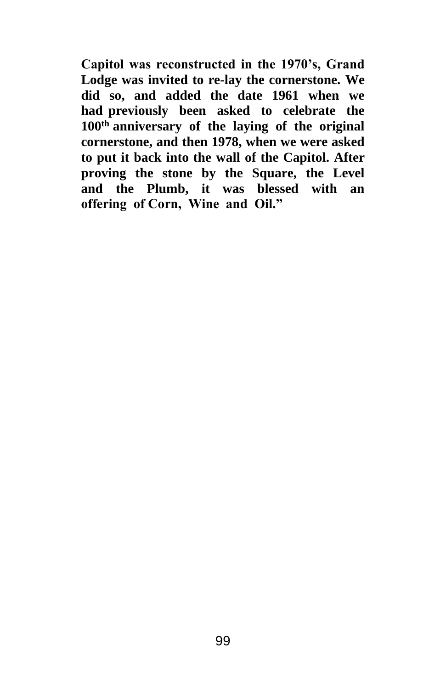**Capitol was reconstructed in the 1970's, Grand Lodge was invited to re-lay the cornerstone. We did so, and added the date 1961 when we had previously been asked to celebrate the 100th anniversary of the laying of the original cornerstone, and then 1978, when we were asked to put it back into the wall of the Capitol. After proving the stone by the Square, the Level and the Plumb, it was blessed with an offering of Corn, Wine and Oil."**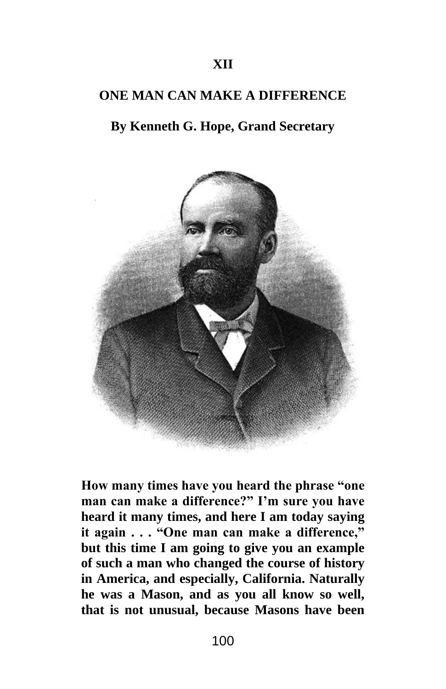### **ONE MAN CAN MAKE A DIFFERENCE**

# **By Kenneth G. Hope, Grand Secretary**



**How many times have you heard the phrase "one man can make a difference?" I'm sure you have heard it many times, and here I am today saying it again . . . "One man can make a difference," but this time I am going to give you an example of such a man who changed the course of history in America, and especially, California. Naturally he was a Mason, and as you all know so well, that is not unusual, because Masons have been**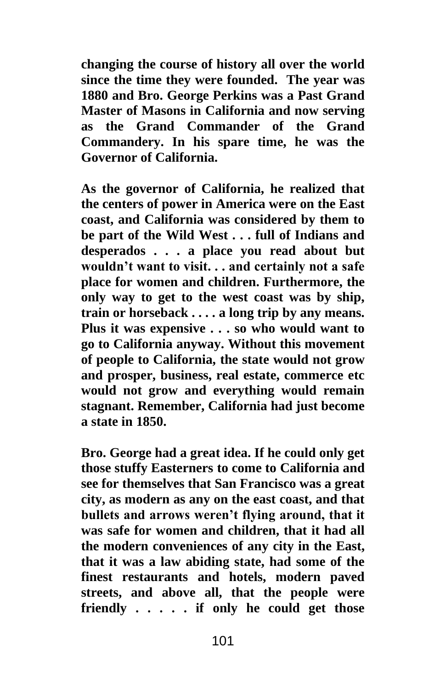**changing the course of history all over the world since the time they were founded. The year was 1880 and Bro. George Perkins was a Past Grand Master of Masons in California and now serving as the Grand Commander of the Grand Commandery. In his spare time, he was the Governor of California.**

**As the governor of California, he realized that the centers of power in America were on the East coast, and California was considered by them to be part of the Wild West . . . full of Indians and desperados . . . a place you read about but wouldn't want to visit. . . and certainly not a safe place for women and children. Furthermore, the only way to get to the west coast was by ship, train or horseback . . . . a long trip by any means. Plus it was expensive . . . so who would want to go to California anyway. Without this movement of people to California, the state would not grow and prosper, business, real estate, commerce etc would not grow and everything would remain stagnant. Remember, California had just become a state in 1850.**

**Bro. George had a great idea. If he could only get those stuffy Easterners to come to California and see for themselves that San Francisco was a great city, as modern as any on the east coast, and that bullets and arrows weren't flying around, that it was safe for women and children, that it had all the modern conveniences of any city in the East, that it was a law abiding state, had some of the finest restaurants and hotels, modern paved streets, and above all, that the people were friendly . . . . . if only he could get those**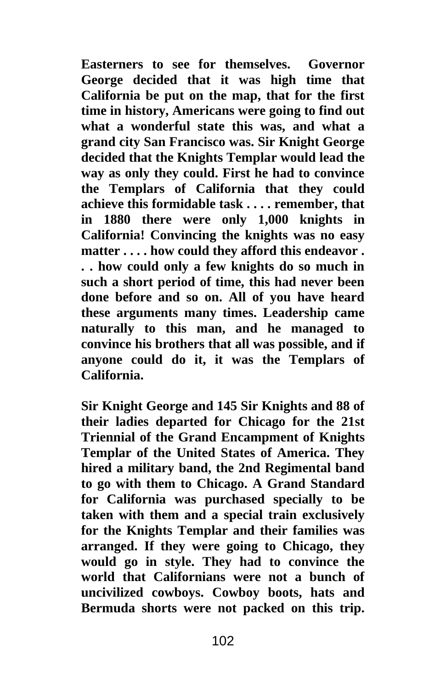**Easterners to see for themselves. Governor George decided that it was high time that California be put on the map, that for the first time in history, Americans were going to find out what a wonderful state this was, and what a grand city San Francisco was. Sir Knight George decided that the Knights Templar would lead the way as only they could. First he had to convince the Templars of California that they could achieve this formidable task . . . . remember, that in 1880 there were only 1,000 knights in California! Convincing the knights was no easy matter . . . . how could they afford this endeavor . . . how could only a few knights do so much in such a short period of time, this had never been done before and so on. All of you have heard these arguments many times. Leadership came naturally to this man, and he managed to convince his brothers that all was possible, and if anyone could do it, it was the Templars of California.**

**Sir Knight George and 145 Sir Knights and 88 of their ladies departed for Chicago for the 21st Triennial of the Grand Encampment of Knights Templar of the United States of America. They hired a military band, the 2nd Regimental band to go with them to Chicago. A Grand Standard for California was purchased specially to be taken with them and a special train exclusively for the Knights Templar and their families was arranged. If they were going to Chicago, they would go in style. They had to convince the world that Californians were not a bunch of uncivilized cowboys. Cowboy boots, hats and Bermuda shorts were not packed on this trip.**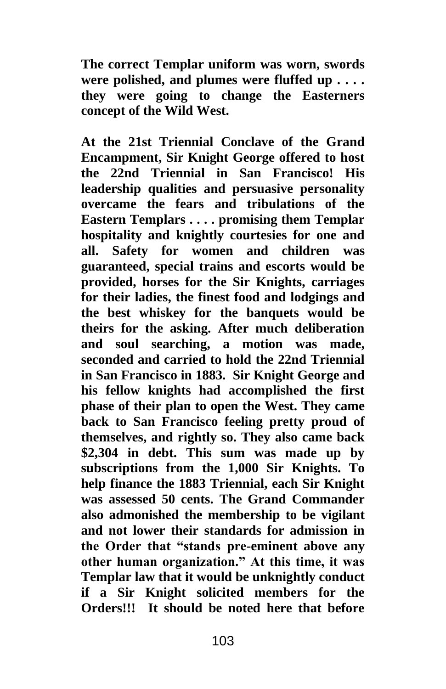**The correct Templar uniform was worn, swords were polished, and plumes were fluffed up . . . . they were going to change the Easterners concept of the Wild West.**

**At the 21st Triennial Conclave of the Grand Encampment, Sir Knight George offered to host the 22nd Triennial in San Francisco! His leadership qualities and persuasive personality overcame the fears and tribulations of the Eastern Templars . . . . promising them Templar hospitality and knightly courtesies for one and all. Safety for women and children was guaranteed, special trains and escorts would be provided, horses for the Sir Knights, carriages for their ladies, the finest food and lodgings and the best whiskey for the banquets would be theirs for the asking. After much deliberation and soul searching, a motion was made, seconded and carried to hold the 22nd Triennial in San Francisco in 1883. Sir Knight George and his fellow knights had accomplished the first phase of their plan to open the West. They came back to San Francisco feeling pretty proud of themselves, and rightly so. They also came back \$2,304 in debt. This sum was made up by subscriptions from the 1,000 Sir Knights. To help finance the 1883 Triennial, each Sir Knight was assessed 50 cents. The Grand Commander also admonished the membership to be vigilant and not lower their standards for admission in the Order that "stands pre-eminent above any other human organization." At this time, it was Templar law that it would be unknightly conduct if a Sir Knight solicited members for the Orders!!! It should be noted here that before**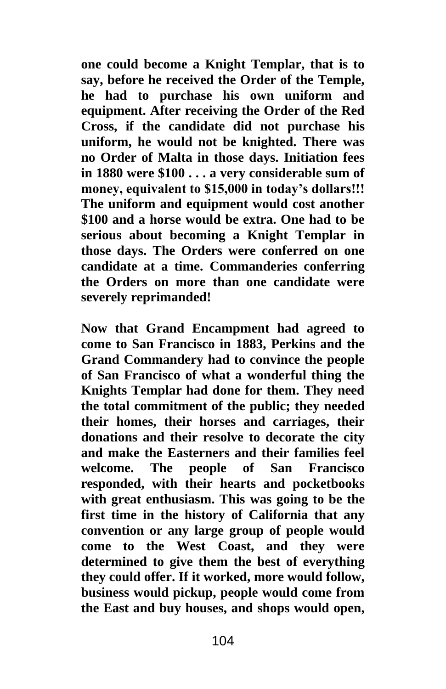**one could become a Knight Templar, that is to say, before he received the Order of the Temple, he had to purchase his own uniform and equipment. After receiving the Order of the Red Cross, if the candidate did not purchase his uniform, he would not be knighted. There was no Order of Malta in those days. Initiation fees in 1880 were \$100 . . . a very considerable sum of money, equivalent to \$15,000 in today's dollars!!! The uniform and equipment would cost another \$100 and a horse would be extra. One had to be serious about becoming a Knight Templar in those days. The Orders were conferred on one candidate at a time. Commanderies conferring the Orders on more than one candidate were severely reprimanded!**

**Now that Grand Encampment had agreed to come to San Francisco in 1883, Perkins and the Grand Commandery had to convince the people of San Francisco of what a wonderful thing the Knights Templar had done for them. They need the total commitment of the public; they needed their homes, their horses and carriages, their donations and their resolve to decorate the city and make the Easterners and their families feel welcome. The people of San Francisco responded, with their hearts and pocketbooks with great enthusiasm. This was going to be the first time in the history of California that any convention or any large group of people would come to the West Coast, and they were determined to give them the best of everything they could offer. If it worked, more would follow, business would pickup, people would come from the East and buy houses, and shops would open,**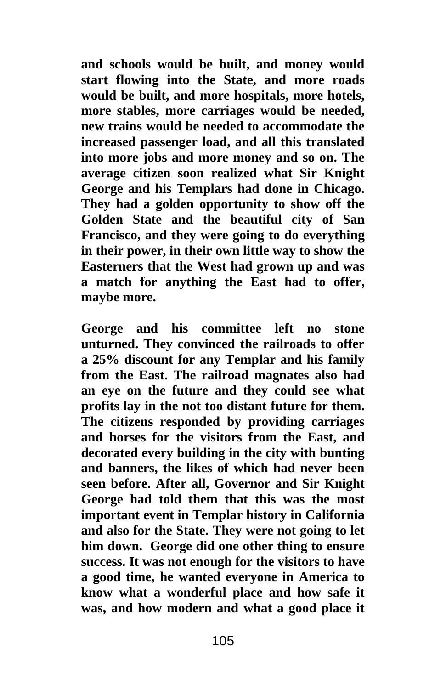**and schools would be built, and money would start flowing into the State, and more roads would be built, and more hospitals, more hotels, more stables, more carriages would be needed, new trains would be needed to accommodate the increased passenger load, and all this translated into more jobs and more money and so on. The average citizen soon realized what Sir Knight George and his Templars had done in Chicago. They had a golden opportunity to show off the Golden State and the beautiful city of San Francisco, and they were going to do everything in their power, in their own little way to show the Easterners that the West had grown up and was a match for anything the East had to offer, maybe more.**

**George and his committee left no stone unturned. They convinced the railroads to offer a 25% discount for any Templar and his family from the East. The railroad magnates also had an eye on the future and they could see what profits lay in the not too distant future for them. The citizens responded by providing carriages and horses for the visitors from the East, and decorated every building in the city with bunting and banners, the likes of which had never been seen before. After all, Governor and Sir Knight George had told them that this was the most important event in Templar history in California and also for the State. They were not going to let him down. George did one other thing to ensure success. It was not enough for the visitors to have a good time, he wanted everyone in America to know what a wonderful place and how safe it was, and how modern and what a good place it**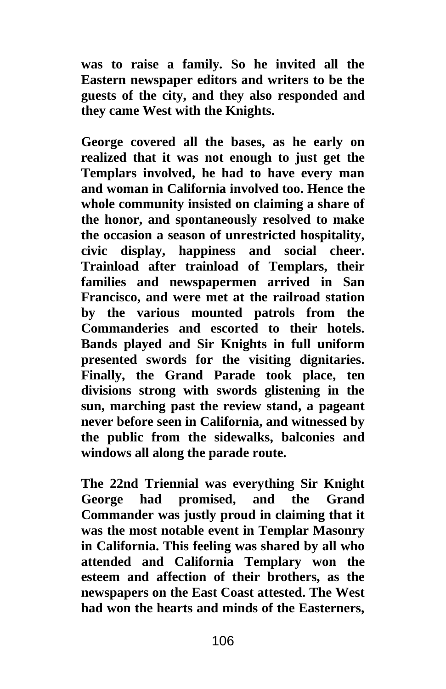**was to raise a family. So he invited all the Eastern newspaper editors and writers to be the guests of the city, and they also responded and they came West with the Knights.**

**George covered all the bases, as he early on realized that it was not enough to just get the Templars involved, he had to have every man and woman in California involved too. Hence the whole community insisted on claiming a share of the honor, and spontaneously resolved to make the occasion a season of unrestricted hospitality, civic display, happiness and social cheer. Trainload after trainload of Templars, their families and newspapermen arrived in San Francisco, and were met at the railroad station by the various mounted patrols from the Commanderies and escorted to their hotels. Bands played and Sir Knights in full uniform presented swords for the visiting dignitaries. Finally, the Grand Parade took place, ten divisions strong with swords glistening in the sun, marching past the review stand, a pageant never before seen in California, and witnessed by the public from the sidewalks, balconies and windows all along the parade route.**

**The 22nd Triennial was everything Sir Knight George had promised, and the Grand Commander was justly proud in claiming that it was the most notable event in Templar Masonry in California. This feeling was shared by all who attended and California Templary won the esteem and affection of their brothers, as the newspapers on the East Coast attested. The West had won the hearts and minds of the Easterners,**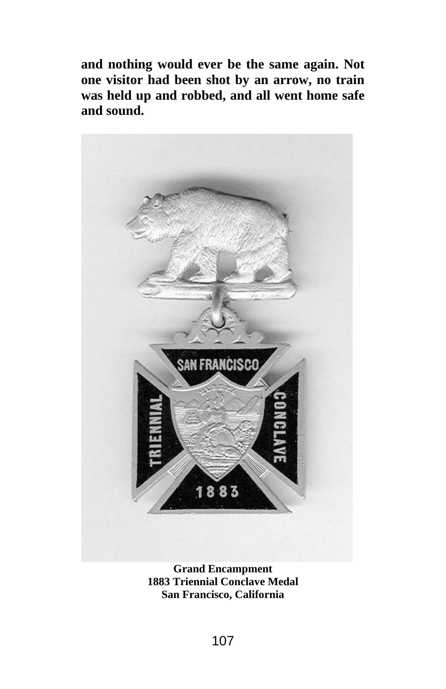**and nothing would ever be the same again. Not one visitor had been shot by an arrow, no train was held up and robbed, and all went home safe and sound.**



**Grand Encampment 1883 Triennial Conclave Medal San Francisco, California**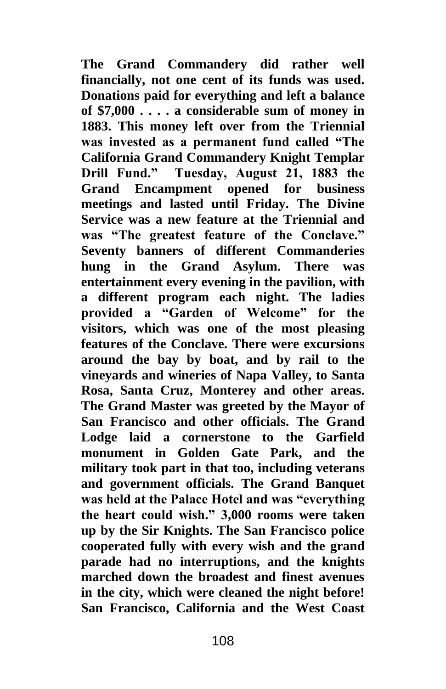**The Grand Commandery did rather well financially, not one cent of its funds was used. Donations paid for everything and left a balance of \$7,000 . . . . a considerable sum of money in 1883. This money left over from the Triennial was invested as a permanent fund called "The California Grand Commandery Knight Templar Drill Fund." Tuesday, August 21, 1883 the Grand Encampment opened for business meetings and lasted until Friday. The Divine Service was a new feature at the Triennial and was "The greatest feature of the Conclave." Seventy banners of different Commanderies hung in the Grand Asylum. There was entertainment every evening in the pavilion, with a different program each night. The ladies provided a "Garden of Welcome" for the visitors, which was one of the most pleasing features of the Conclave. There were excursions around the bay by boat, and by rail to the vineyards and wineries of Napa Valley, to Santa Rosa, Santa Cruz, Monterey and other areas. The Grand Master was greeted by the Mayor of San Francisco and other officials. The Grand Lodge laid a cornerstone to the Garfield monument in Golden Gate Park, and the military took part in that too, including veterans and government officials. The Grand Banquet was held at the Palace Hotel and was "everything the heart could wish." 3,000 rooms were taken up by the Sir Knights. The San Francisco police cooperated fully with every wish and the grand parade had no interruptions, and the knights marched down the broadest and finest avenues in the city, which were cleaned the night before! San Francisco, California and the West Coast**